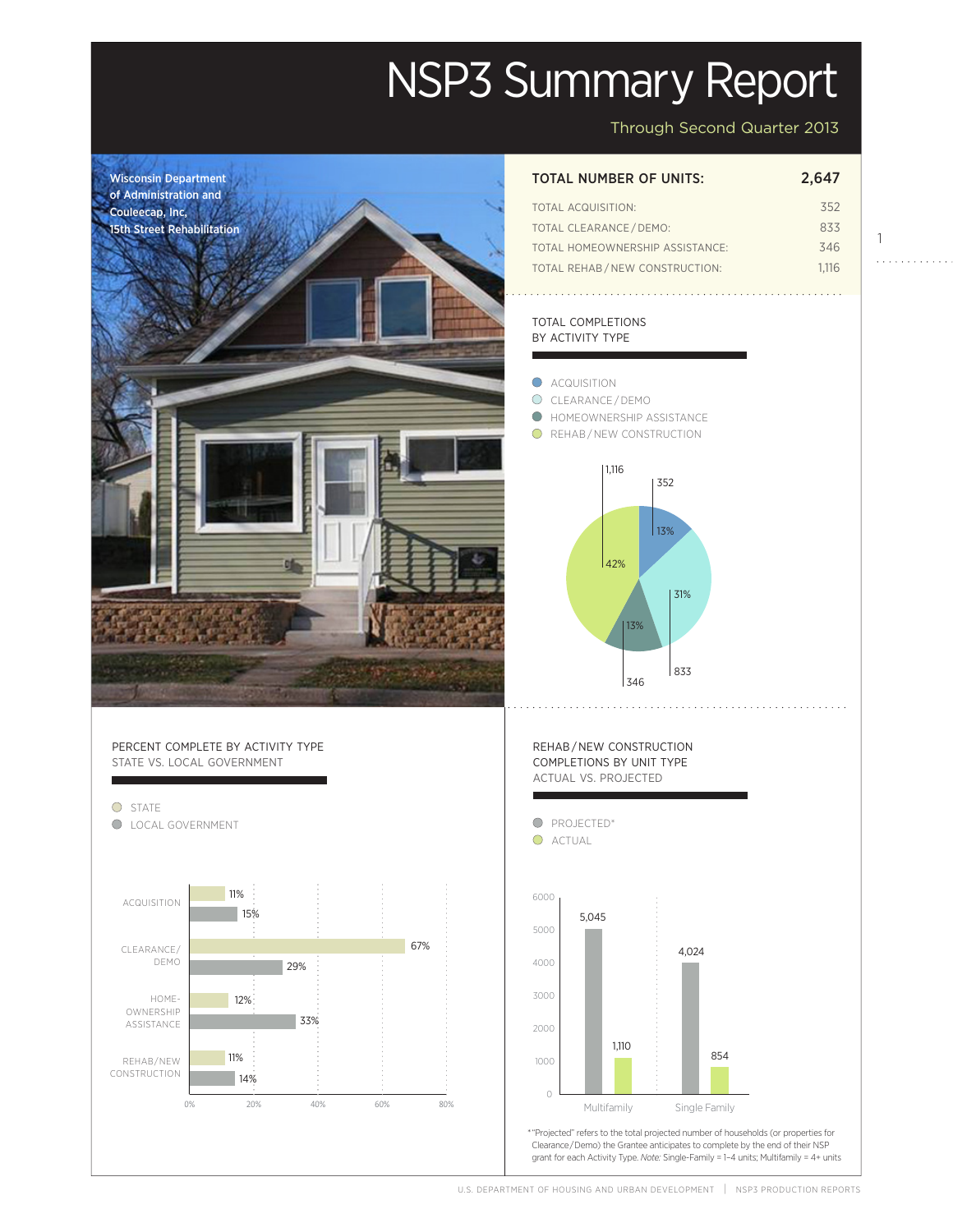# NSP3 Summary Report

Through Second Quarter 2013

1

. . . . . . . . . . . .

Projected



0% 20% 40% 60% 80%

## TOTAL ACQUISITION: 352 TOTAL CLEARANCE/DEMO: 833 TOTAL HOMEOWNERSHIP ASSISTANCE: 346

#### TOTAL COMPLETIONS BY ACTIVITY TYPE

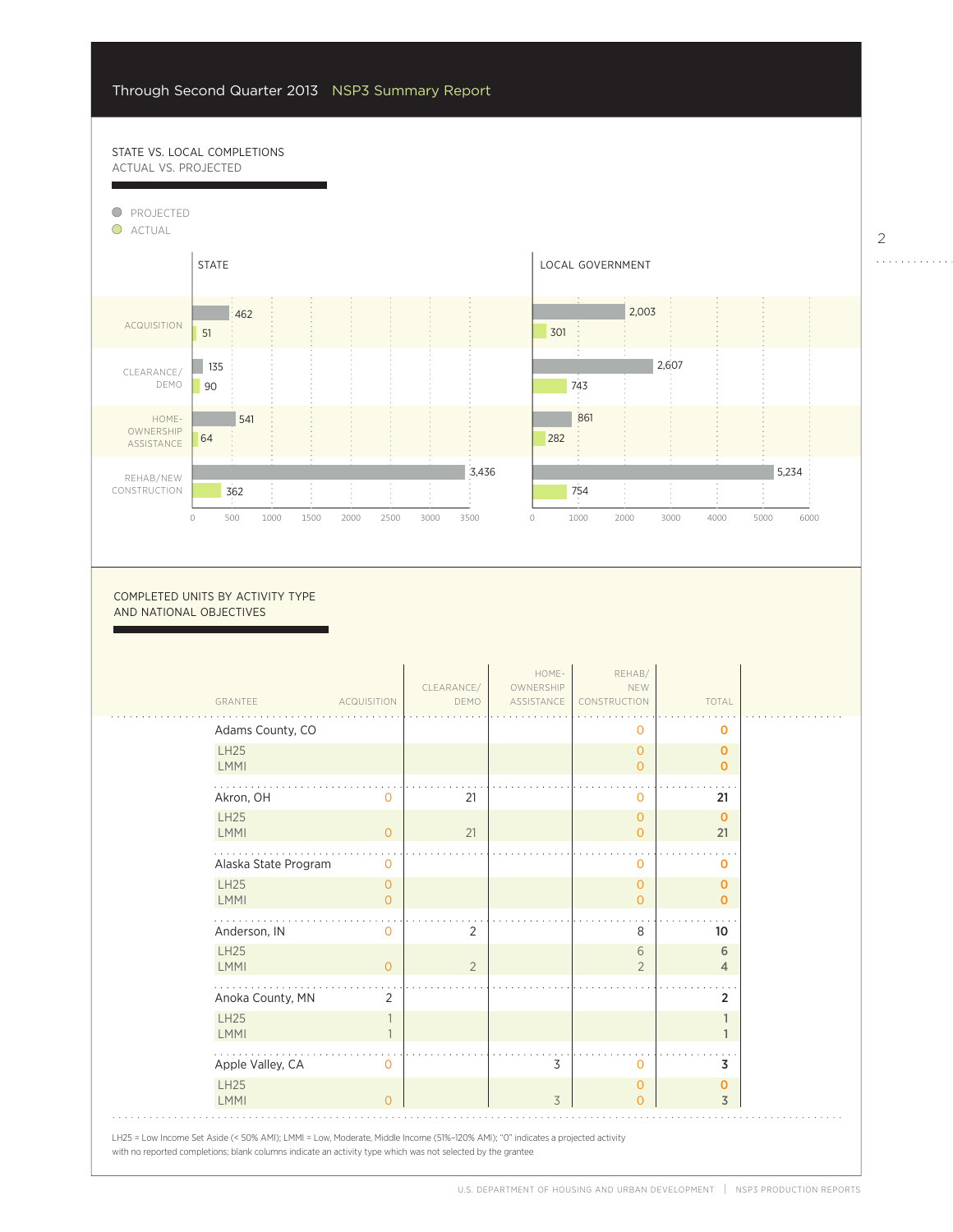12%

14%

### STATE VS. LOCAL COMPLETIONS ACTUAL VS. PROJECTED



0

COMPLETED UNITS BY ACTIVITY TYPE AND NATIONAL OBJECTIVES

| GRANTEE                    | <b>ACQUISITION</b>               | CLEARANCE/<br>DEMO | HOME-<br>OWNERSHIP<br>ASSISTANCE | REHAB/<br>NEW<br>CONSTRUCTION    | TOTAL                         |  |
|----------------------------|----------------------------------|--------------------|----------------------------------|----------------------------------|-------------------------------|--|
| Adams County, CO           |                                  |                    |                                  | 0                                | $\mathbf 0$                   |  |
| <b>LH25</b><br>LMMI        |                                  |                    |                                  | $\overline{0}$<br>$\overline{0}$ | $\mathbf 0$<br>$\mathbf 0$    |  |
| Akron, OH                  | Ω                                | 21                 |                                  | 0                                | 21                            |  |
| <b>LH25</b><br>LMMI        | $\overline{O}$                   | 21                 |                                  | $\mathbf 0$<br>$\overline{0}$    | $\mathbf 0$<br>21             |  |
| Alaska State Program       | $\mathbf 0$                      |                    |                                  | 0                                | 0                             |  |
| <b>LH25</b><br><b>LMMI</b> | $\overline{O}$<br>$\overline{O}$ |                    |                                  | $\overline{0}$<br>$\overline{0}$ | $\mathbf 0$<br>$\Omega$       |  |
| Anderson, IN               | 0                                | 2                  |                                  | 8                                | 10                            |  |
| <b>LH25</b><br>LMMI        | $\Omega$                         | $\overline{2}$     |                                  | 6<br>$\overline{2}$              | 6<br>$\overline{4}$           |  |
| Anoka County, MN           | 2                                |                    |                                  |                                  | $\overline{2}$                |  |
| <b>LH25</b><br>LMMI        |                                  |                    |                                  |                                  | $\mathbf{1}$<br>1             |  |
| Apple Valley, CA           | 0                                |                    | 3                                | 0                                | 3                             |  |
| <b>LH25</b><br>LMMI        | $\Omega$                         |                    | 3                                | $\overline{0}$<br>$\Omega$       | $\mathbf 0$<br>$\overline{3}$ |  |

2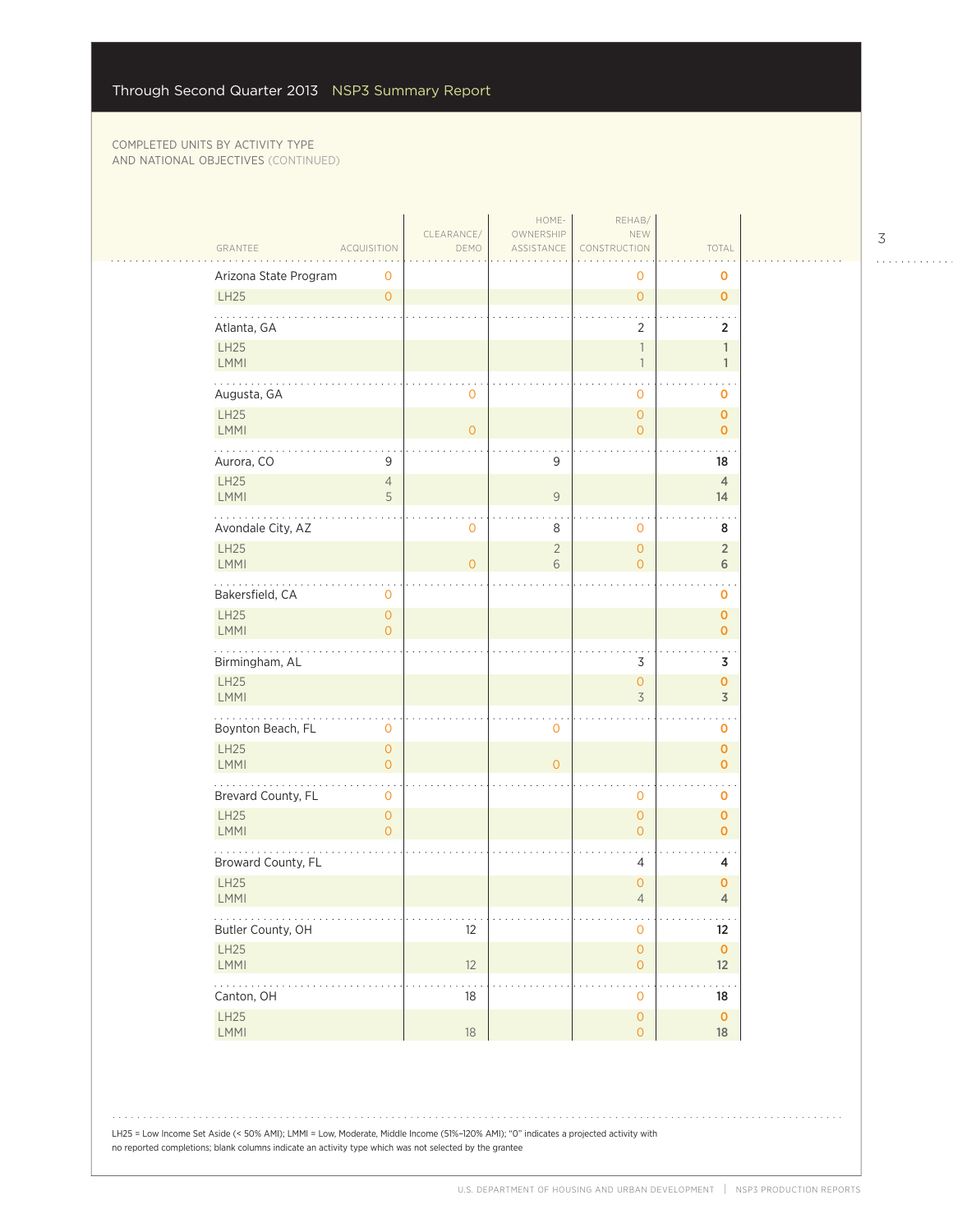|                                                              | CLEARANCE/                                      | HOME-<br>OWNERSHIP  | REHAB/<br>NEW                              |                                      |  |
|--------------------------------------------------------------|-------------------------------------------------|---------------------|--------------------------------------------|--------------------------------------|--|
| GRANTEE<br><b>ACQUISITION</b>                                | DEMO                                            | ASSISTANCE          | CONSTRUCTION                               | TOTAL                                |  |
| Arizona State Program<br>0                                   |                                                 |                     | 0                                          | 0                                    |  |
| LH25<br>$\overline{0}$                                       |                                                 |                     | $\mathsf{O}\xspace$                        | $\mathbf{O}$                         |  |
| Atlanta, GA                                                  |                                                 |                     | 2                                          | 2                                    |  |
| LH25<br>LMMI                                                 |                                                 |                     | $\mathbbm{1}$<br>$\overline{\phantom{a}}$  | $\mathbf{1}$<br>$\mathbf{1}$         |  |
| Augusta, GA                                                  | 0                                               |                     | $\mathbf 0$                                | 0                                    |  |
| LH25                                                         |                                                 |                     | $\mathsf{O}\xspace$                        | 0                                    |  |
| <b>LMMI</b><br><b>.</b>                                      | $\overline{0}$                                  |                     | $\overline{O}$                             | $\mathbf 0$                          |  |
| Aurora, CO<br>9                                              |                                                 | 9                   |                                            | 18                                   |  |
| LH25<br>$\overline{4}$<br>5<br>LMMI                          |                                                 | $\mathcal G$        |                                            | $\overline{4}$<br>14                 |  |
| Avondale City, AZ                                            | 0                                               | 8                   | $\mathbf 0$                                | 8                                    |  |
| LH25<br>LMMI                                                 | $\overline{0}$                                  | $\overline{2}$<br>6 | $\overline{O}$<br>$\circ$                  | $\overline{2}$<br>6                  |  |
| .<br>Bakersfield, CA<br>0                                    |                                                 |                     |                                            | 0                                    |  |
| LH25<br>$\mathsf{O}\xspace$<br><b>LMMI</b><br>$\overline{0}$ |                                                 |                     |                                            | $\mathbf 0$<br>$\mathbf{0}$          |  |
| Birmingham, AL                                               |                                                 |                     | $\mathsf 3$                                | 3                                    |  |
| LH25<br><b>LMMI</b>                                          |                                                 |                     | $\mathsf{O}\xspace$<br>3                   | $\mathbf{o}$<br>$\overline{3}$       |  |
| Boynton Beach, FL<br>0                                       |                                                 | $\mathbf 0$         |                                            | $\mathbf 0$                          |  |
| LH25<br>$\overline{0}$<br>LMMI<br>$\overline{0}$             |                                                 | $\overline{O}$      |                                            | $\mathbf 0$<br>0                     |  |
| Brevard County, FL<br>0                                      |                                                 |                     | $\mathbf 0$                                | $\ddotsc$<br>0                       |  |
| LH25<br>$\mathsf{O}\xspace$<br>LMMI<br>$\overline{0}$        |                                                 |                     | $\mathsf{O}\xspace$<br>$\overline{O}$      | 0<br>$\mathbf{O}$                    |  |
| Broward County, FL                                           |                                                 |                     | 4                                          | 4                                    |  |
| LH25<br><b>LMMI</b>                                          |                                                 |                     | $\mathsf{O}\xspace$<br>$\overline{4}$      | 0<br>$\overline{4}$                  |  |
| .<br>Butler County, OH                                       | $\alpha$ , $\alpha$ , $\alpha$ , $\alpha$<br>12 |                     | $\cdots$<br>$\mathbf 0$                    | $\alpha$ , $\alpha$ , $\alpha$<br>12 |  |
| LH25<br>LMMI                                                 | 12                                              |                     | $\mathsf{O}\xspace$<br>$\mathsf{O}\xspace$ | $\mathbf 0$<br>12                    |  |
| .<br>Canton, OH                                              | 18                                              |                     | $\mathbf 0$                                | 18                                   |  |
| LH25<br>LMMI                                                 | $18\,$                                          |                     | $\mathsf{O}\xspace$<br>$\circ$             | $\mathbf 0$<br>18                    |  |
|                                                              |                                                 |                     |                                            |                                      |  |

 $\begin{array}{cccccccccccccc} . & . & . & . & . & . & . & . & . & . & . & . & . \end{array}$ 

LH25 = Low Income Set Aside (< 50% AMI); LMMI = Low, Moderate, Middle Income (51%–120% AMI); "0" indicates a projected activity with no reported completions; blank columns indicate an activity type which was not selected by the grantee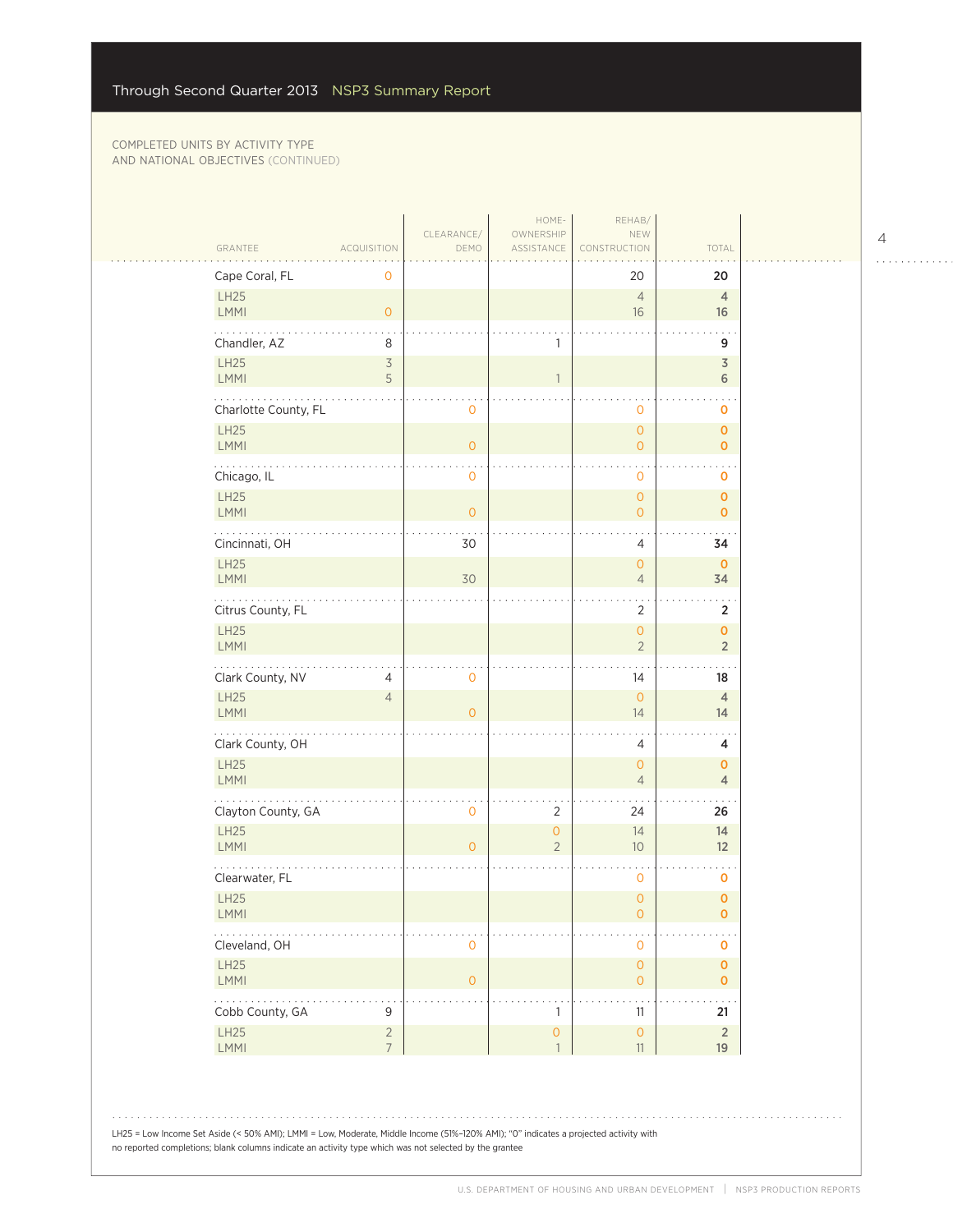|                                     |                               | CLEARANCE/     | HOME-<br>OWNERSHIP                  | REHAB/<br>NEW                              |                               |
|-------------------------------------|-------------------------------|----------------|-------------------------------------|--------------------------------------------|-------------------------------|
| GRANTEE                             | <b>ACQUISITION</b>            | DEMO           | ASSISTANCE                          | CONSTRUCTION                               | TOTAL                         |
| Cape Coral, FL<br>LH25              | $\mathbf 0$                   |                |                                     | 20<br>$\overline{4}$                       | 20<br>$\overline{4}$          |
| LMMI                                | $\circ$                       |                |                                     | 16                                         | 16                            |
| Chandler, AZ                        | 8                             |                | 1                                   |                                            | 9                             |
| LH25                                | $\overline{\mathcal{S}}$<br>5 |                |                                     |                                            | 3                             |
| LMMI<br>.                           |                               |                |                                     |                                            | $\,$ 6 $\,$                   |
| Charlotte County, FL<br><b>LH25</b> |                               | 0              |                                     | 0<br>$\overline{0}$                        | 0<br>$\mathbf{O}$             |
| <b>LMMI</b>                         |                               | $\overline{O}$ |                                     | $\overline{O}$                             | $\mathbf{O}$                  |
| Chicago, IL                         |                               | 0              |                                     | 0                                          | o                             |
| LH25<br>LMMI                        |                               | $\overline{O}$ |                                     | $\overline{O}$<br>$\overline{O}$           | $\mathbf{O}$<br>$\mathbf 0$   |
| Cincinnati, OH                      |                               | 30             |                                     | 4                                          | 34                            |
| <b>LH25</b><br><b>LMMI</b>          |                               | 30             |                                     | $\overline{O}$<br>$\overline{4}$           | $\mathbf{O}$<br>34            |
| .<br>Citrus County, FL              |                               |                |                                     | $\overline{2}$                             | 2                             |
| LH25<br>LMMI                        |                               |                |                                     | $\mathsf{O}\xspace$<br>$\overline{2}$      | $\mathbf 0$<br>$\overline{2}$ |
| Clark County, NV                    | $\overline{4}$                | 0              |                                     | 14                                         | 18                            |
| LH25<br>LMMI                        | $\overline{4}$                | $\overline{0}$ |                                     | $\circ$<br>14                              | $\overline{4}$<br>14          |
| .<br>Clark County, OH               |                               |                |                                     | 4                                          | 4                             |
| LH25<br><b>LMMI</b>                 |                               |                |                                     | $\overline{O}$<br>$\overline{4}$           | $\mathbf 0$<br>$\overline{4}$ |
| Clayton County, GA                  |                               | $\circ$        | 2                                   | 24                                         | 26                            |
| LH25<br>LMMI                        |                               | $\overline{O}$ | $\circ$<br>$\overline{2}$           | 14<br>10                                   | 14<br>12                      |
| Clearwater, FL                      |                               |                |                                     | 0                                          | 0                             |
| LH25<br><b>LMMI</b>                 |                               |                |                                     | $\overline{0}$<br>0                        | $\mathbf{O}$<br>0             |
| Cleveland, OH                       |                               | 0              |                                     | 0                                          | $\mathbf 0$                   |
| LH25<br>LMMI                        |                               | $\overline{0}$ |                                     | $\mathsf{O}\xspace$<br>$\mathsf{O}\xspace$ | $\mathbf{O}$<br>$\mathbf 0$   |
| .<br>Cobb County, GA                | 9                             |                | 1                                   | 11                                         | $\ddotsc$<br>21               |
| LH25<br>LMMI                        | $\sqrt{2}$<br>$7\overline{ }$ |                | $\mathsf{O}\xspace$<br>$\mathbf{1}$ | $\mathsf{O}\xspace$<br>11                  | $\overline{2}$<br>19          |

4

. . . . . . . . . . . .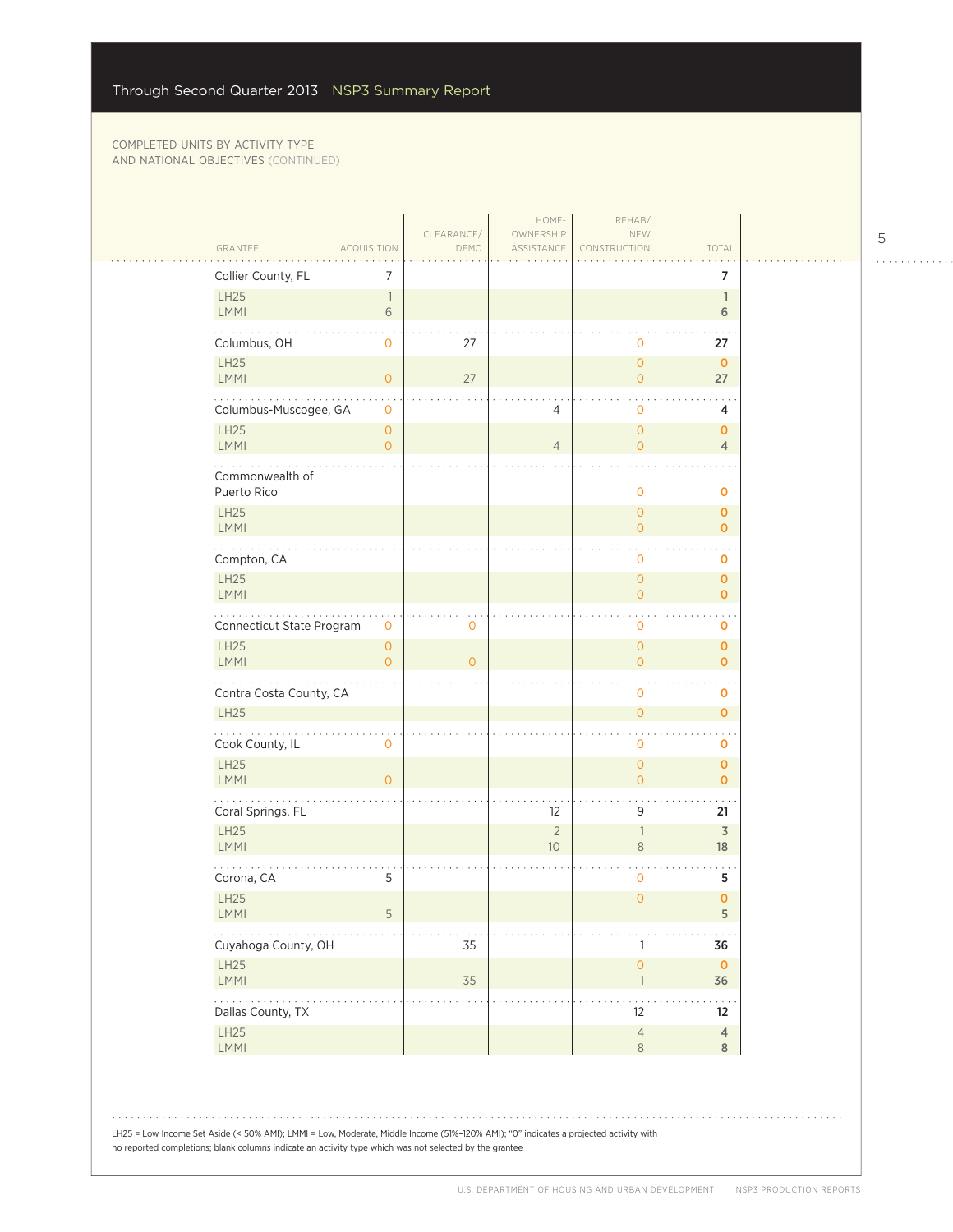| GRANTEE                                                         | <b>ACQUISITION</b>                    | CLEARANCE/<br>DEMO | HOME-<br>OWNERSHIP<br>ASSISTANCE | REHAB/<br>NEW<br>CONSTRUCTION         | TOTAL                                |
|-----------------------------------------------------------------|---------------------------------------|--------------------|----------------------------------|---------------------------------------|--------------------------------------|
| Collier County, FL                                              | 7                                     |                    |                                  |                                       | 7                                    |
| LH25<br><b>LMMI</b>                                             | $\mathbb{1}$<br>6                     |                    |                                  |                                       | $\mathbf{1}$<br>6                    |
| Columbus, OH                                                    | $\mathbf{O}$                          | 27                 |                                  | $\mathbf 0$                           | 27                                   |
| <b>LH25</b><br>LMMI                                             | $\circ$                               | 27                 |                                  | $\overline{O}$<br>$\overline{O}$      | $\mathbf 0$<br>27                    |
| Columbus-Muscogee, GA                                           | $\mathbf{0}$                          |                    | 4                                | 0                                     | 4                                    |
| <b>LH25</b><br>LMMI                                             | $\circ$<br>$\overline{0}$             |                    | $\overline{4}$                   | $\circ$<br>$\overline{O}$             | $\mathbf{O}$<br>$\overline{4}$       |
| Commonwealth of<br>Puerto Rico                                  |                                       |                    |                                  | $\mathbf 0$                           | $\mathbf 0$                          |
| <b>LH25</b><br>LMMI                                             |                                       |                    |                                  | $\mathbf{O}$<br>$\overline{O}$        | $\mathbf 0$<br>$\mathbf{O}$          |
| Compton, CA                                                     |                                       |                    |                                  | 0                                     | 0                                    |
| LH25<br>LMMI                                                    |                                       |                    |                                  | $\overline{O}$<br>$\overline{O}$      | $\mathbf{O}$<br>$\mathbf{O}$         |
| Connecticut State Program                                       | 0                                     | 0                  |                                  | 0                                     | 0                                    |
| <b>LH25</b><br><b>LMMI</b>                                      | $\mathsf{O}\xspace$<br>$\overline{0}$ | $\overline{0}$     |                                  | $\mathsf{O}\xspace$<br>$\overline{O}$ | $\mathbf 0$<br>$\mathbf{O}$          |
| Contra Costa County, CA                                         |                                       |                    |                                  | $\mathbf{O}$                          | $\sim$ $\sim$<br>$\mathbf 0$         |
| <b>LH25</b>                                                     |                                       |                    |                                  | $\circ$                               | $\mathbf 0$                          |
| Cook County, IL<br><b>LH25</b>                                  | $\mathbf 0$                           |                    |                                  | $\mathbf 0$<br>$\overline{O}$         | $\mathbf 0$<br>$\mathbf{O}$          |
| LMMI                                                            | $\overline{O}$                        |                    |                                  | $\overline{O}$                        | $\mathbf{O}$                         |
| Coral Springs, FL<br>LH25<br>LMMI                               |                                       |                    | 12<br>$\overline{2}$<br>10       | 9<br>$\overline{\phantom{a}}$<br>8    | 21<br>$\overline{\mathcal{S}}$<br>18 |
| Corona, CA                                                      | 5                                     |                    |                                  | $\mathbf{0}$                          | 5                                    |
| LH25<br>LMMI                                                    | 5                                     |                    |                                  | $\mathsf{O}\xspace$                   | $\mathbf 0$<br>$\mathsf S$           |
| Cuyahoga County, OH                                             |                                       | 35                 |                                  | $\mathbb{1}$                          | 36                                   |
| <b>LH25</b><br>LMMI                                             |                                       | 35                 |                                  | $\mathsf{O}\xspace$<br>$\overline{1}$ | $\mathbf 0$<br>36                    |
| $\mathbb{Z}^2$ . The set of $\mathbb{Z}^2$<br>Dallas County, TX |                                       |                    |                                  | 12                                    | 12                                   |
| LH25<br>LMMI                                                    |                                       |                    |                                  | $\overline{4}$<br>$\,8\,$             | $\overline{4}$<br>8                  |

 $1.1.1.1.1.1.1$ 

LH25 = Low Income Set Aside (< 50% AMI); LMMI = Low, Moderate, Middle Income (51%–120% AMI); "0" indicates a projected activity with no reported completions; blank columns indicate an activity type which was not selected by the grantee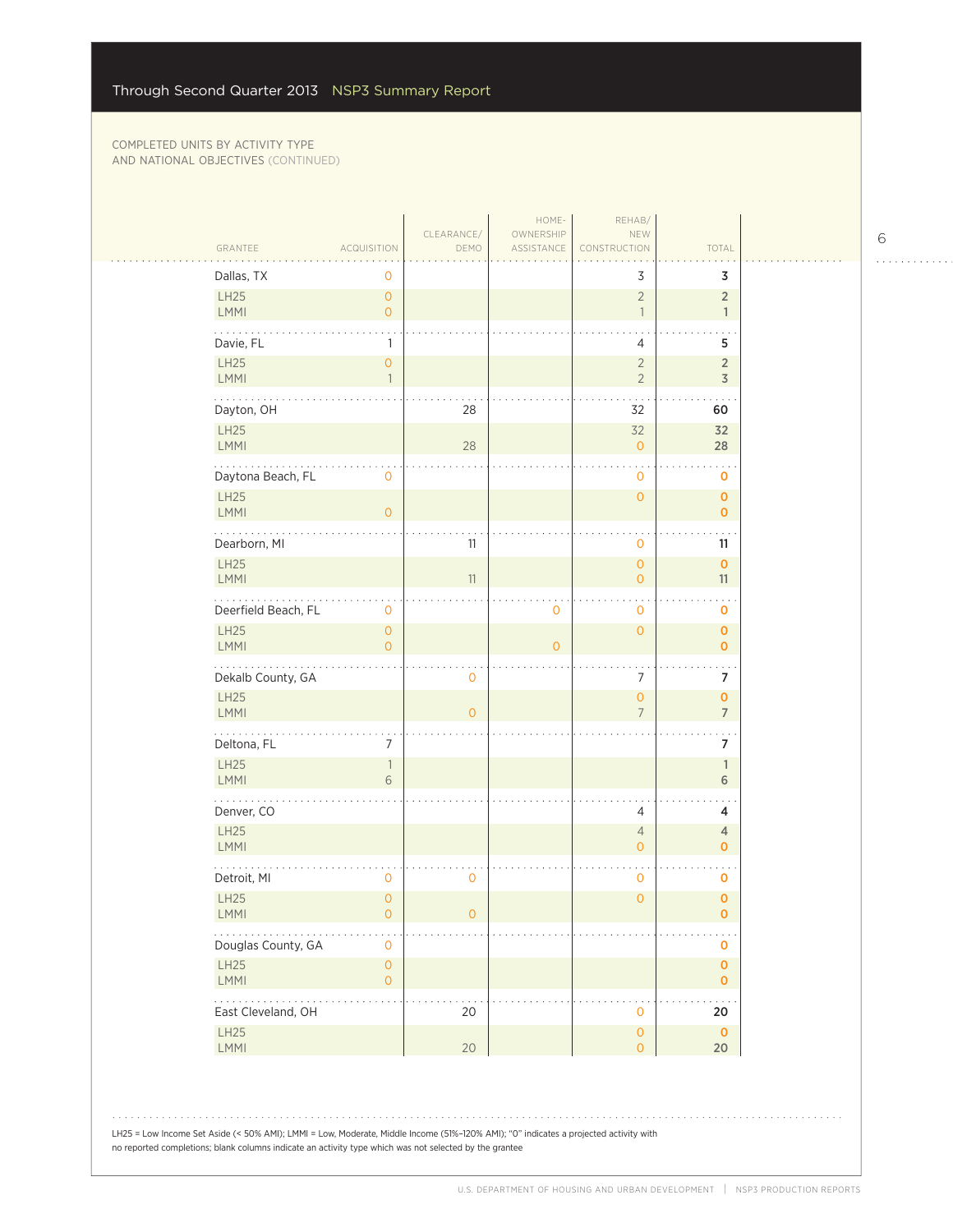| GRANTEE                         | <b>ACQUISITION</b>                    | CLEARANCE/<br>DEMO | HOME-<br>OWNERSHIP<br>ASSISTANCE | REHAB/<br>NEW<br>CONSTRUCTION              | TOTAL                             |
|---------------------------------|---------------------------------------|--------------------|----------------------------------|--------------------------------------------|-----------------------------------|
| Dallas, TX                      | 0                                     |                    |                                  | 3                                          | 3                                 |
| <b>LH25</b><br><b>LMMI</b>      | $\mathsf{O}\xspace$<br>$\overline{0}$ |                    |                                  | $\overline{2}$<br>$\overline{1}$           | $\overline{2}$<br>$\mathbf{1}$    |
| Davie, FL                       | 1                                     |                    |                                  | 4                                          | 5                                 |
| LH25<br>LMMI                    | $\mathsf{O}\xspace$                   |                    |                                  | $\overline{2}$<br>$\overline{2}$           | $\overline{2}$<br>3               |
| Dayton, OH                      |                                       | 28                 |                                  | 32                                         | 60                                |
| LH25<br>LMMI                    |                                       | 28                 |                                  | 32<br>$\overline{O}$                       | 32<br>28                          |
| .<br>Daytona Beach, FL          | 0                                     |                    |                                  | 0                                          | $\sim$ $\sim$<br>$\mathbf 0$      |
| LH25<br>LMMI                    | $\overline{O}$                        |                    |                                  | $\mathsf{O}\xspace$                        | $\mathbf{O}$<br>$\mathbf 0$       |
| Dearborn, MI                    |                                       | 11                 |                                  | 0                                          | 11                                |
| LH25<br>LMMI                    |                                       | 11                 |                                  | $\mathsf{O}\xspace$<br>$\mathsf{O}\xspace$ | $\mathbf 0$<br>11                 |
| .<br>Deerfield Beach, FL        | 0                                     |                    | $\mathbf 0$                      | 0                                          | $\mathbf 0$                       |
| LH25<br><b>LMMI</b>             | $\mathsf{O}\xspace$<br>$\overline{0}$ |                    | $\overline{O}$                   | $\overline{O}$                             | $\mathbf 0$<br>$\mathbf{O}$       |
| Dekalb County, GA               |                                       | $\mathbf 0$        |                                  | $\overline{7}$                             | 7                                 |
| <b>LH25</b><br>LMMI             |                                       | $\overline{O}$     |                                  | $\mathsf{O}\xspace$<br>$\overline{7}$      | $\pmb{0}$<br>$\overline{7}$       |
| Deltona, FL                     | 7                                     |                    |                                  |                                            | 7                                 |
| LH25<br><b>LMMI</b>             | 1<br>6                                |                    |                                  |                                            | $\mathbf{1}$<br>6                 |
| Denver, CO                      |                                       |                    |                                  | $\overline{4}$                             | 4                                 |
| LH25<br>LMMI                    |                                       |                    |                                  | $\overline{4}$<br>$\overline{O}$           | 4<br>$\mathbf 0$                  |
| Detroit, MI                     | 0                                     | 0                  |                                  | $\mathbf 0$                                | $\sim$ .<br>$\mathbf 0$           |
| <b>LH25</b><br>LMMI             | $\overline{0}$<br>$\mathsf{O}\xspace$ | $\overline{O}$     |                                  | $\overline{0}$                             | $\pmb{0}$<br>$\mathbf 0$          |
| Douglas County, GA              | $\mathsf O$                           |                    |                                  |                                            | $\pmb{0}$                         |
| LH25<br><b>LMMI</b>             | $\mathsf{O}\xspace$<br>$\overline{O}$ |                    |                                  |                                            | $\pmb{\mathsf{O}}$<br>$\mathbf 0$ |
| 1.1.1.1.1<br>East Cleveland, OH |                                       | 20                 |                                  | 0                                          | 20                                |
| LH25<br><b>LMMI</b>             |                                       | 20                 |                                  | $\mathsf{O}\xspace$<br>$\mathsf{O}\xspace$ | $\mathbf 0$<br>20                 |

LH25 = Low Income Set Aside (< 50% AMI); LMMI = Low, Moderate, Middle Income (51%–120% AMI); "0" indicates a projected activity with no reported completions; blank columns indicate an activity type which was not selected by the grantee

 $\begin{array}{cccccccccccccc} . & . & . & . & . & . & . & . & . & . & . & . & . \end{array}$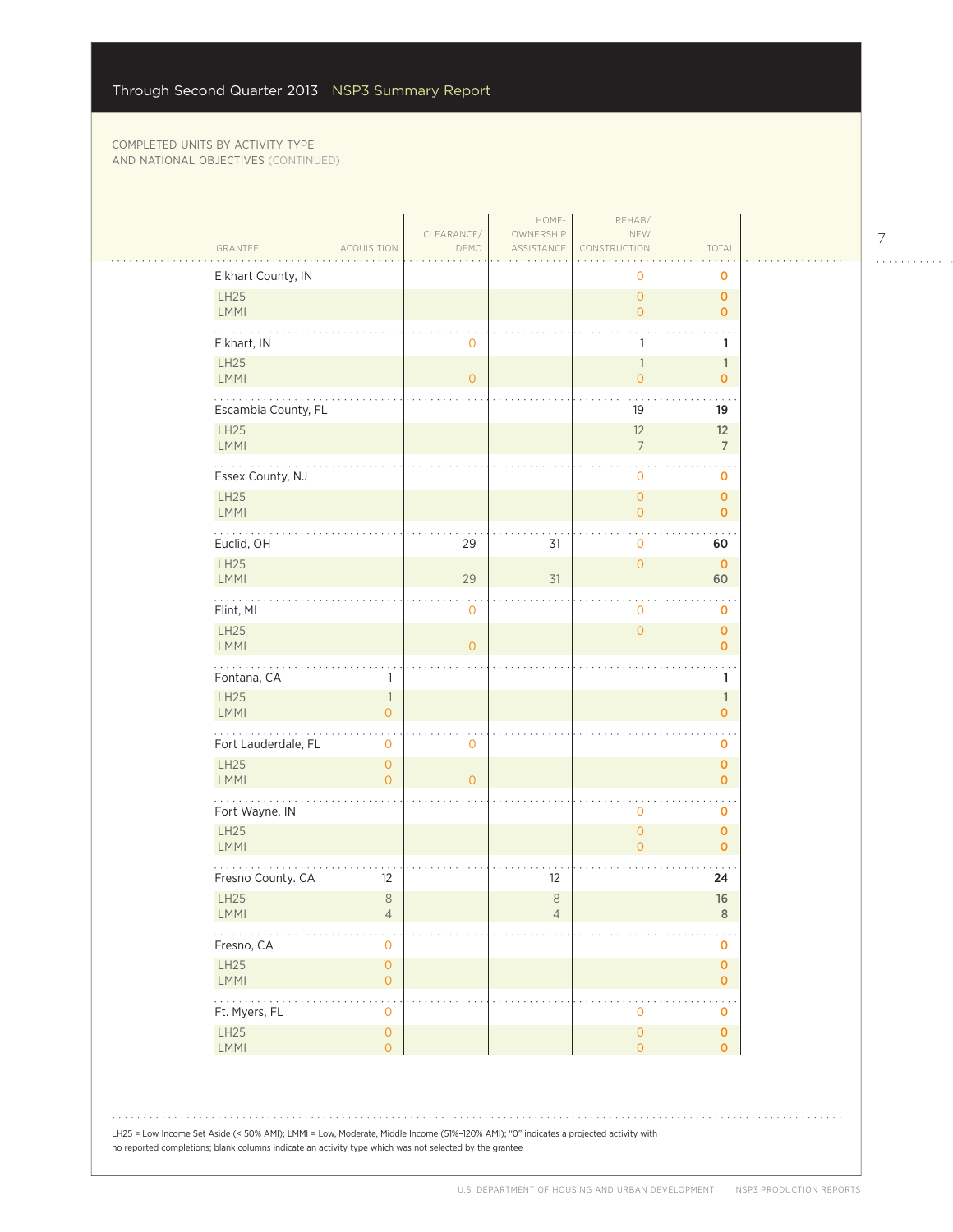| GRANTEE                    | <b>ACQUISITION</b>                              | CLEARANCE/<br>DEMO | OWNERSHIP<br>ASSISTANCE | NEW<br>CONSTRUCTION                   | TOTAL                              |
|----------------------------|-------------------------------------------------|--------------------|-------------------------|---------------------------------------|------------------------------------|
| Elkhart County, IN         |                                                 |                    |                         | 0                                     | 0                                  |
| LH25<br><b>LMMI</b>        |                                                 |                    |                         | $\overline{O}$<br>$\overline{O}$      | 0<br>0                             |
| Elkhart, IN                |                                                 | 0                  |                         | 1                                     | 1                                  |
| LH25<br>LMMI               |                                                 | $\overline{0}$     |                         | $\overline{1}$<br>$\overline{O}$      | $\mathbf{1}$<br>$\overline{0}$     |
| Escambia County, FL        |                                                 |                    |                         | 19                                    | 19                                 |
| LH25<br><b>LMMI</b>        |                                                 |                    |                         | 12<br>$\overline{7}$                  | 12<br>$\overline{7}$               |
| Essex County, NJ           |                                                 |                    |                         | 0                                     | 0                                  |
| <b>LH25</b><br>LMMI        |                                                 |                    |                         | $\mathbf{O}$<br>$\overline{0}$        | $\mathbf 0$<br>0                   |
| Euclid, OH                 |                                                 | 29                 | 31                      | 0                                     | 60                                 |
| <b>LH25</b><br><b>LMMI</b> |                                                 | 29                 | 31                      | $\mathbf{O}$                          | $\mathbf 0$<br>60                  |
| .<br>Flint, MI             |                                                 | . .<br>0           |                         | 0                                     | . .<br>0                           |
| LH25<br>LMMI               |                                                 | $\overline{O}$     |                         | $\overline{0}$                        | $\overline{0}$<br>$\mathbf{O}$     |
| Fontana, CA                | $\mathbf{1}$                                    |                    |                         |                                       | 1                                  |
| LH25<br><b>LMMI</b>        | $\overline{\phantom{a}}$<br>$\mathsf{O}\xspace$ |                    |                         |                                       | $\mathbb{1}$<br>$\overline{0}$     |
| Fort Lauderdale, FL        | 0                                               | 0                  |                         |                                       | 0                                  |
| LH25<br><b>LMMI</b>        | $\mathbf{O}$<br>$\overline{0}$                  | $\overline{O}$     |                         |                                       | 0<br>$\overline{0}$                |
| Fort Wayne, IN             |                                                 |                    |                         | 0                                     | 0                                  |
| LH25<br><b>LMMI</b>        |                                                 |                    |                         | $\mathbf{O}$<br>$\Omega$              | 0<br>$\mathbf{o}$                  |
| Fresno County. CA          | 12                                              |                    | 12                      |                                       | 24                                 |
| <b>LH25</b><br><b>LMMI</b> | $\,8\,$<br>4                                    |                    | $\,8\,$<br>4            |                                       | 16<br>8                            |
| Fresno, CA                 | $\mathsf{O}\xspace$                             |                    |                         |                                       | 0                                  |
| LH25<br>LMMI               | $\mathsf O$<br>$\mathsf{O}\xspace$              |                    |                         |                                       | $\overline{0}$<br>0                |
| .<br>Ft. Myers, FL         | $\ddot{\phantom{0}}$<br>0                       |                    |                         | 0                                     | $\ddotsc$<br>0                     |
| LH25<br>LMMI               | $\mathsf{O}\xspace$<br>$\overline{0}$           |                    |                         | $\mathsf{O}\xspace$<br>$\overline{0}$ | $\pmb{\mathsf{O}}$<br>$\mathbf{o}$ |

. . . . . . . . . . . .

. . . . . . . . . . . . .

المتحدث والمتحدث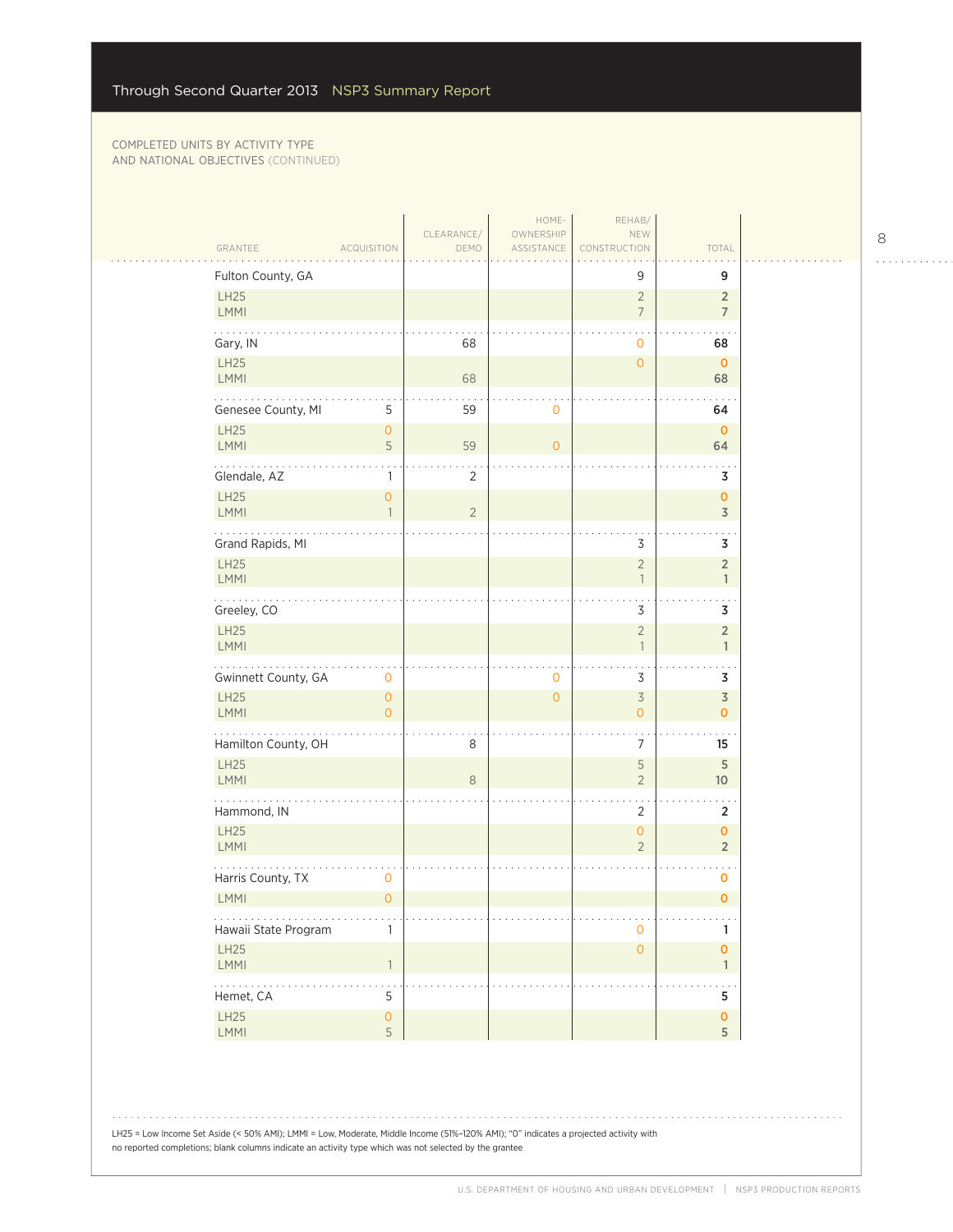$\mathbb{R}$ 

|                            |                                | CLEARANCE/     | HOME-<br>OWNERSHIP | REHAB/<br>NEW                              |                                      |
|----------------------------|--------------------------------|----------------|--------------------|--------------------------------------------|--------------------------------------|
| GRANTEE                    | ACQUISITION                    | DEMO           | ASSISTANCE         | CONSTRUCTION                               | TOTAL                                |
| Fulton County, GA          |                                |                |                    | 9                                          | 9                                    |
| <b>LH25</b><br>LMMI        |                                |                |                    | $\overline{2}$<br>$\overline{7}$           | $\sqrt{2}$<br>$\overline{7}$         |
| Gary, IN                   |                                | 68             |                    | $\mathbf 0$                                | 68                                   |
| <b>LH25</b><br>LMMI        |                                | 68             |                    | $\mathbf{O}$                               | $\mathbf 0$<br>68                    |
| .<br>Genesee County, MI    | 5                              | 59             | $\mathbf 0$        |                                            | 64                                   |
| <b>LH25</b><br>LMMI        | $\overline{O}$<br>5            | 59             | $\overline{O}$     |                                            | $\mathbf 0$<br>64                    |
| Glendale, AZ               | 1                              | $\overline{2}$ |                    |                                            | 3                                    |
| <b>LH25</b><br>LMMI        | $\mathbf{O}$<br>$\overline{1}$ | $\overline{c}$ |                    |                                            | $\pmb{\mathsf{O}}$<br>$\mathfrak Z$  |
| Grand Rapids, MI           |                                |                |                    | 3                                          | 3                                    |
| <b>LH25</b><br>LMMI        |                                |                |                    | $\overline{c}$<br>$\mathbf{1}$             | $\sqrt{2}$<br>$\mathbf{1}$           |
| .<br>Greeley, CO           |                                |                |                    | 3                                          | . .<br>3                             |
| <b>LH25</b><br>LMMI        |                                |                |                    | $\overline{2}$<br>$\overline{1}$           | $\sqrt{2}$<br>$\mathbf{1}$           |
| Gwinnett County, GA        | $\mathbf 0$                    |                | $\mathbf 0$        | 3                                          | $\sim$ $\sim$<br>3                   |
| <b>LH25</b><br>LMMI        | $\mathbf{O}$<br>$\Omega$       |                | $\mathbf{O}$       | $\overline{\mathcal{S}}$<br>$\overline{0}$ | $\mathfrak Z$<br>$\mathbf 0$         |
| .<br>Hamilton County, OH   |                                | 8              |                    | 7                                          | 15                                   |
| <b>LH25</b><br>LMMI        |                                | $\,8\,$        |                    | 5<br>$\overline{2}$                        | 5<br>$10$                            |
| Hammond, IN                |                                |                |                    | 2                                          | $\overline{2}$                       |
| <b>LH25</b><br><b>LMMI</b> |                                |                |                    | $\overline{O}$<br>$\overline{2}$           | $\pmb{\mathsf{O}}$<br>$\overline{2}$ |
| Harris County, TX          | $\mathbf 0$                    |                |                    |                                            | o                                    |
| <b>LMMI</b>                | $\overline{0}$                 |                |                    |                                            | $\mathbf 0$                          |
| .<br>Hawaii State Program  | $\mathbf{1}$                   |                |                    | $\mathbf 0$                                | $\sim$ $\sim$<br>1                   |
| <b>LH25</b><br>LMMI        | $\overline{1}$                 |                |                    | $\mathsf{O}\xspace$                        | $\pmb{\mathsf{O}}$<br>$\mathbb{1}$   |
| 19999<br>Hemet, CA         | 5                              |                |                    |                                            | 5                                    |
| LH25<br>LMMI               | $\mathsf{O}\xspace$<br>5       |                |                    |                                            | $\pmb{0}$<br>5                       |

LH25 = Low Income Set Aside (< 50% AMI); LMMI = Low, Moderate, Middle Income (51%–120% AMI); "0" indicates a projected activity with no reported completions; blank columns indicate an activity type which was not selected by the grantee

 $\begin{array}{cccccccccccccc} . & . & . & . & . & . & . & . & . & . & . & . & . \end{array}$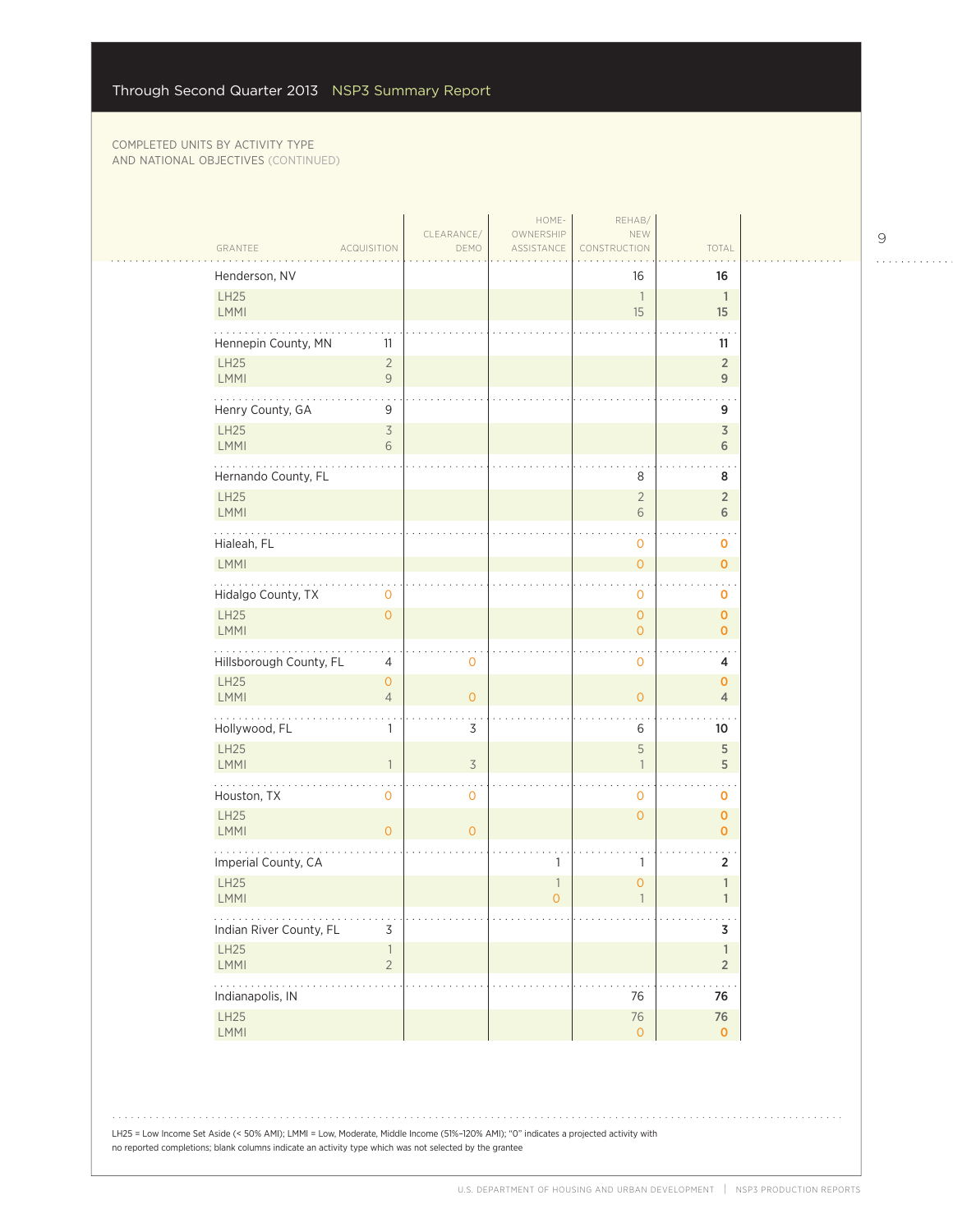|                                    |                                       | CLEARANCE/     | HOME-<br>OWNERSHIP | REHAB/<br>NEW                       |                                |  |
|------------------------------------|---------------------------------------|----------------|--------------------|-------------------------------------|--------------------------------|--|
| GRANTEE                            | <b>ACQUISITION</b>                    | DEMO           | ASSISTANCE         | CONSTRUCTION                        | TOTAL                          |  |
| Henderson, NV                      |                                       |                |                    | 16                                  | 16                             |  |
| LH25<br>LMMI                       |                                       |                |                    | $\overline{\phantom{a}}$<br>15      | $\overline{1}$<br>15           |  |
|                                    |                                       |                |                    |                                     |                                |  |
| Hennepin County, MN<br>LH25        | 11<br>$\sqrt{2}$                      |                |                    |                                     | 11<br>$\sqrt{2}$               |  |
| <b>LMMI</b>                        | $\mathcal{G}$                         |                |                    |                                     | $\mathsf 9$                    |  |
| .<br>Henry County, GA              | 9                                     |                |                    |                                     | 9                              |  |
| <b>LH25</b>                        | $\overline{\mathcal{S}}$              |                |                    |                                     | $\mathfrak Z$                  |  |
| <b>LMMI</b>                        | 6                                     |                |                    |                                     | 6                              |  |
| Hernando County, FL                |                                       |                |                    | $\,8\,$                             | 8                              |  |
| <b>LH25</b><br><b>LMMI</b>         |                                       |                |                    | $\overline{2}$<br>$\sqrt{6}$        | $\sqrt{2}$<br>6                |  |
| Hialeah, FL                        |                                       |                |                    | $\mathbf 0$                         | o                              |  |
| LMMI                               |                                       |                |                    | $\mathsf{O}\xspace$                 | $\mathbf 0$                    |  |
| Hidalgo County, TX                 | 0                                     |                |                    | $\overline{0}$                      | 0                              |  |
| <b>LH25</b>                        | $\overline{0}$                        |                |                    | $\overline{0}$                      | $\mathbf 0$                    |  |
| <b>LMMI</b>                        |                                       |                |                    | $\overline{O}$                      | $\mathbf 0$                    |  |
| Hillsborough County, FL            | 4                                     | $\mathbf 0$    |                    | $\overline{0}$                      | 4                              |  |
| <b>LH25</b><br><b>LMMI</b>         | $\mathsf{O}\xspace$<br>$\overline{4}$ | $\overline{O}$ |                    | $\overline{0}$                      | $\mathbf 0$<br>$\overline{4}$  |  |
|                                    |                                       |                |                    |                                     |                                |  |
| Hollywood, FL<br>LH25              | 1                                     | 3              |                    | 6<br>$\mathsf S$                    | 10<br>$\sqrt{5}$               |  |
| LMMI                               |                                       | $\overline{3}$ |                    | $\overline{1}$                      | 5                              |  |
| Houston, TX                        | 0                                     | 0              |                    | $\mathbf 0$                         | $\sim$ $\sim$<br>o             |  |
| <b>LH25</b><br><b>LMMI</b>         | $\overline{O}$                        | $\overline{O}$ |                    | $\circ$                             | $\mathbf 0$<br>$\mathbf 0$     |  |
|                                    |                                       |                |                    |                                     |                                |  |
| Imperial County, CA<br><b>LH25</b> |                                       |                | 1<br>1             | $\mathbf{1}$<br>$\mathsf{O}\xspace$ | $\overline{2}$<br>$\mathbb{1}$ |  |
| LMMI                               |                                       |                | $\overline{O}$     | $\overline{1}$                      | $\mathbf{1}$                   |  |
| .<br>Indian River County, FL       | $\cdots$<br>$\mathsf 3$               |                |                    |                                     | $\sim$ $\sim$<br>3             |  |
| LH25                               | $\mathbf{1}$                          |                |                    |                                     | $\mathbf{1}$                   |  |
| LMMI<br>2000000                    | $\overline{2}$                        |                |                    |                                     | $\overline{2}$                 |  |
| Indianapolis, IN                   |                                       |                |                    | 76                                  | 76                             |  |
| LH25<br>LMMI                       |                                       |                |                    | 76<br>$\overline{0}$                | $76\,$<br>$\mathbf{O}$         |  |

LH25 = Low Income Set Aside (< 50% AMI); LMMI = Low, Moderate, Middle Income (51%–120% AMI); "0" indicates a projected activity with no reported completions; blank columns indicate an activity type which was not selected by the grantee

 $\begin{array}{cccccccccccccc} . & . & . & . & . & . & . & . & . & . & . & . & . \end{array}$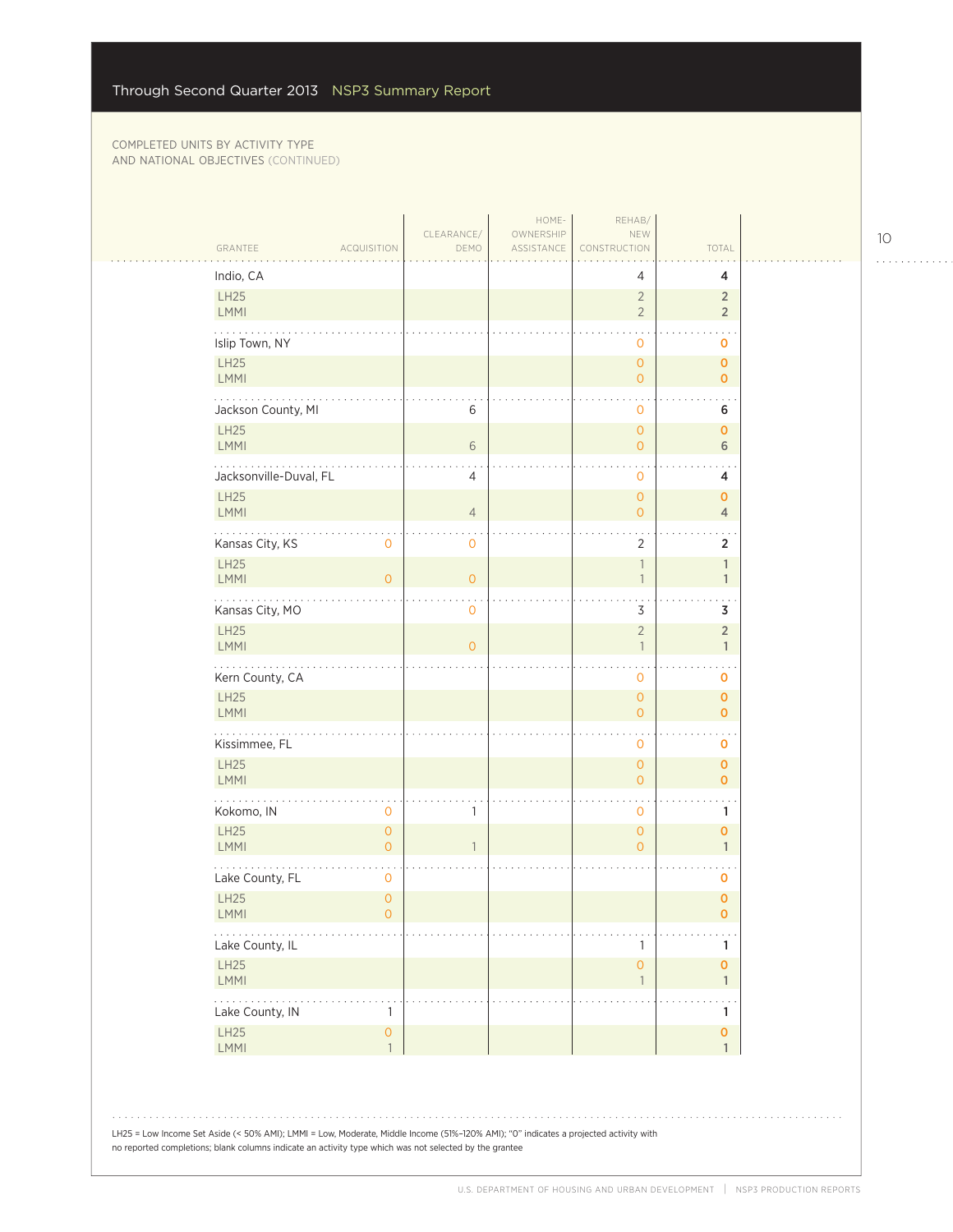| GRANTEE<br><b>ACQUISITION</b>                         | CLEARANCE/<br>DEMO | HOME-<br>OWNERSHIP<br>ASSISTANCE | REHAB/<br>NEW<br>CONSTRUCTION                         | TOTAL                            |  |
|-------------------------------------------------------|--------------------|----------------------------------|-------------------------------------------------------|----------------------------------|--|
| Indio, CA                                             |                    |                                  | 4                                                     | 4                                |  |
| LH25<br><b>LMMI</b>                                   |                    |                                  | $\sqrt{2}$<br>$\overline{2}$                          | $\overline{2}$<br>$\overline{2}$ |  |
| Islip Town, NY                                        |                    |                                  | 0                                                     | 0                                |  |
| LH25<br>LMMI                                          |                    |                                  | $\mathsf{O}\xspace$<br>$\overline{O}$                 | $\mathbf 0$<br>$\overline{0}$    |  |
| Jackson County, MI                                    | 6                  |                                  | $\mathbf 0$                                           | 6                                |  |
| <b>LH25</b><br>LMMI                                   | $6\phantom{1}6$    |                                  | $\circ$<br>$\circ$                                    | $\mathbf 0$<br>6                 |  |
| Jacksonville-Duval, FL                                | 4                  |                                  | $\mathbf 0$                                           | 4                                |  |
| <b>LH25</b><br>LMMI                                   | $\overline{4}$     |                                  | $\circ$<br>$\circ$                                    | 0<br>$\overline{4}$              |  |
| Kansas City, KS<br>0                                  | $\mathbf 0$        |                                  | $\overline{2}$                                        | $\overline{2}$                   |  |
| LH25<br>LMMI<br>$\overline{O}$                        | $\mathbf{O}$       |                                  | $\ensuremath{\mathbb{I}}$<br>$\overline{\phantom{a}}$ | $\mathbb{1}$<br>$\mathbf{1}$     |  |
| Kansas City, MO<br><b>LH25</b>                        | $\mathbf 0$        |                                  | $\ddot{\phantom{0}}$<br>3<br>$\overline{2}$           | 3<br>$\overline{2}$              |  |
| LMMI                                                  | $\overline{0}$     |                                  | $\overline{1}$                                        | $\mathbf{1}$                     |  |
| Kern County, CA<br><b>LH25</b>                        |                    |                                  | $\mathbf{O}$<br>$\overline{O}$                        | 0<br>$\mathbf 0$                 |  |
| LMMI<br>.                                             |                    |                                  | $\circ$                                               | $\overline{0}$                   |  |
| Kissimmee, FL                                         |                    |                                  | 0                                                     | 0                                |  |
| LH25<br><b>LMMI</b>                                   |                    |                                  | $\mathsf{O}\xspace$<br>$\overline{O}$                 | $\mathbf 0$<br>$\overline{0}$    |  |
| Kokomo, IN<br>$\mathbf 0$                             | $\mathbf{1}$       |                                  | $\mathbf 0$                                           | 1                                |  |
| <b>LH25</b><br>$\mathbf{O}$<br>LMMI<br>$\overline{O}$ | 1                  |                                  | $\circ$<br>$\overline{O}$                             | 0<br>$\mathbf{1}$                |  |
| Lake County, FL<br>0                                  |                    |                                  |                                                       | 0                                |  |
| <b>LH25</b><br>$\overline{O}$<br><b>LMMI</b><br>0     |                    |                                  |                                                       | $\overline{0}$<br>0              |  |
| .<br>Lake County, IL                                  |                    |                                  | 1                                                     | 1                                |  |
| LH25<br>LMMI                                          |                    |                                  | $\mathsf{O}\xspace$<br>1                              | 0<br>$\mathbb{1}$                |  |
| .<br>Lake County, IN<br>1                             |                    |                                  |                                                       | 1                                |  |
| $\overline{1}$<br>LMMI                                |                    |                                  |                                                       | $\mathbf{1}$                     |  |
| <b>LH25</b><br>$\mathsf{O}\xspace$                    |                    |                                  |                                                       | 0                                |  |

. . . . . . . . . . . .

 $\ldots$  .

 $\bar{z}$  ,  $\bar{z}$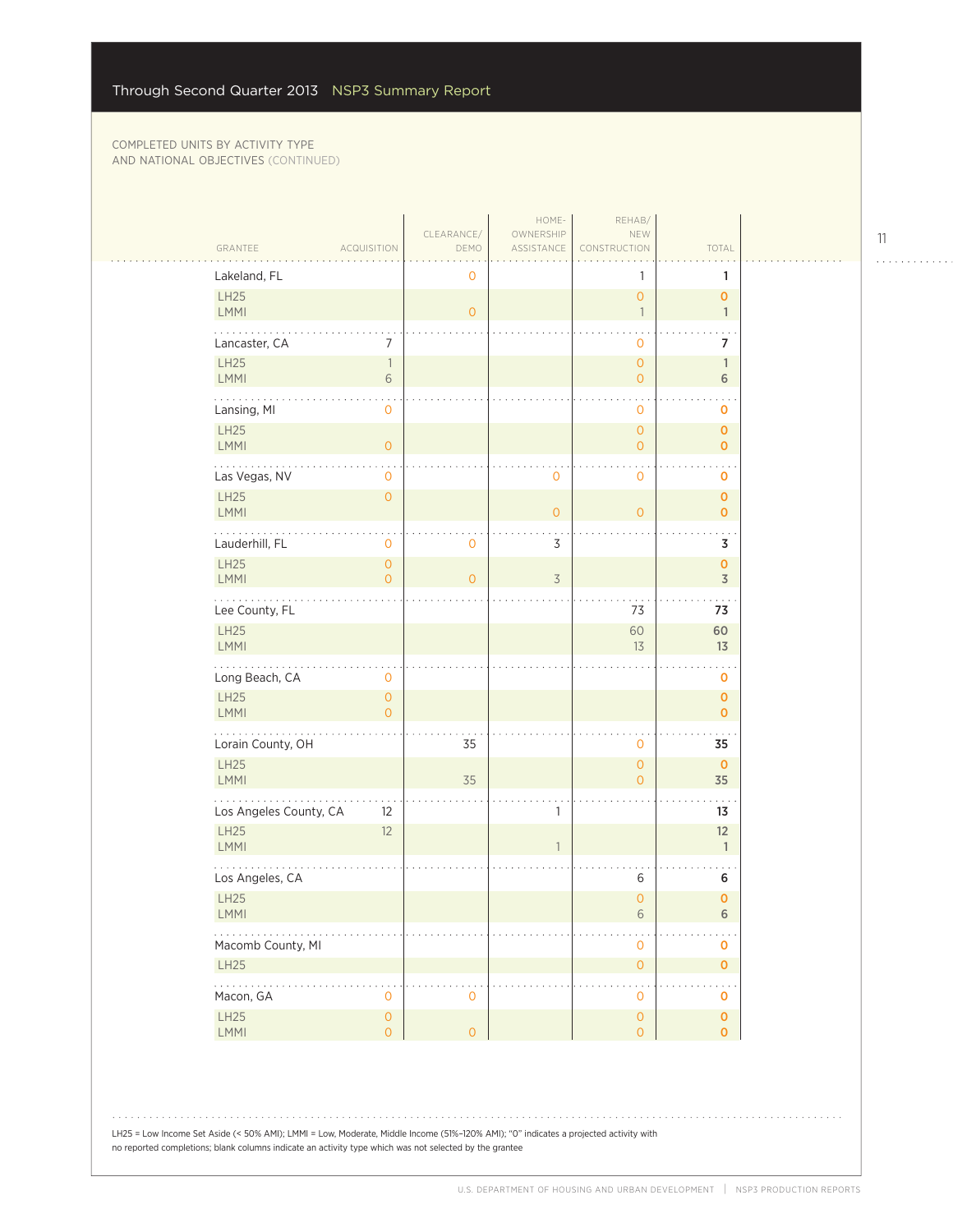|                            |                                       |                    | HOME-                   | REHAB/                                     |                                        |  |
|----------------------------|---------------------------------------|--------------------|-------------------------|--------------------------------------------|----------------------------------------|--|
| GRANTEE                    | <b>ACQUISITION</b>                    | CLEARANCE/<br>DEMO | OWNERSHIP<br>ASSISTANCE | NEW<br>CONSTRUCTION                        | TOTAL                                  |  |
| Lakeland, FL               |                                       | $\mathbf 0$        |                         | 1                                          | 1                                      |  |
| LH25                       |                                       |                    |                         | $\mathsf{O}\xspace$                        | $\mathbf{O}$                           |  |
| LMMI                       |                                       | $\overline{O}$     |                         | $\overline{\phantom{a}}$                   | $\mathbf{1}$                           |  |
| Lancaster, CA              | 7                                     |                    |                         | $\mathbf{O}$                               | 7                                      |  |
| LH25<br>LMMI               | $\overline{1}$<br>6                   |                    |                         | $\mathsf{O}\xspace$<br>$\overline{O}$      | $\mathbf{1}$<br>$6\,$                  |  |
| .<br>Lansing, MI           | $\mathbf 0$                           |                    |                         | $\mathbf 0$                                | O                                      |  |
| <b>LH25</b><br>LMMI        | $\circ$                               |                    |                         | $\mathsf{O}\xspace$<br>$\mathsf{O}\xspace$ | $\mathbf 0$<br>$\mathbf 0$             |  |
| Las Vegas, NV              | $\mathsf{O}\xspace$                   |                    | 0                       | $\mathbf 0$                                | $\mathbf 0$                            |  |
| LH25<br>LMMI               | $\circ$                               |                    | $\overline{0}$          | $\overline{O}$                             | $\mathbf{O}$<br>$\mathbf 0$            |  |
| Lauderhill, FL             | $\mathbf 0$                           | 0                  | $\mathsf 3$             |                                            | 3                                      |  |
| LH25<br>LMMI               | $\mathsf{O}\xspace$<br>$\overline{O}$ | $\overline{O}$     | $\overline{3}$          |                                            | $\mathbf 0$<br>$\overline{\mathsf{3}}$ |  |
| Lee County, FL             |                                       |                    |                         | 73                                         | 73                                     |  |
| LH25<br><b>LMMI</b>        |                                       |                    |                         | 60<br>13                                   | 60<br>13                               |  |
| Long Beach, CA             | $\mathbf 0$                           |                    |                         |                                            | $\mathbf 0$                            |  |
| LH25<br>LMMI               | $\mathsf{O}\xspace$<br>$\overline{O}$ |                    |                         |                                            | $\mathbf 0$<br>$\mathbf 0$             |  |
| .<br>Lorain County, OH     |                                       | 35                 |                         | $\mathbf 0$                                | 35                                     |  |
| LH25<br><b>LMMI</b>        |                                       | 35                 |                         | $\mathsf{O}\xspace$<br>$\overline{0}$      | $\mathbf 0$<br>35                      |  |
| Los Angeles County, CA     | 12                                    |                    | 1                       |                                            | 13                                     |  |
| <b>LH25</b><br><b>LMMI</b> | 12                                    |                    | $\mathbf{1}$            |                                            | 12<br>$\mathbf{1}$                     |  |
| Los Angeles, CA            |                                       |                    |                         | 6                                          | 6                                      |  |
| <b>LH25</b><br><b>LMMI</b> |                                       |                    |                         | $\overline{0}$<br>6                        | $\pmb{0}$<br>6                         |  |
| Macomb County, MI          |                                       |                    |                         | $\mathsf{O}\xspace$                        | $\mathbf 0$                            |  |
| LH25                       |                                       |                    |                         | $\mathsf{O}\xspace$                        | $\pmb{0}$                              |  |
| .<br>Macon, GA             | $\overline{0}$                        | $\mathbf{0}$       |                         | $\sim$<br>$\mathsf{O}\xspace$              | $\mathbf 0$                            |  |
| LH25<br>LMMI               | $\mathsf{O}\xspace$<br>$\circ$        | $\mathsf O$        |                         | $\mathsf{O}\xspace$<br>$\mathsf O$         | $\pmb{0}$<br>$\overline{0}$            |  |
|                            |                                       |                    |                         |                                            |                                        |  |

. . . . . . . . . . . .

LH25 = Low Income Set Aside (< 50% AMI); LMMI = Low, Moderate, Middle Income (51%–120% AMI); "0" indicates a projected activity with no reported completions; blank columns indicate an activity type which was not selected by the grantee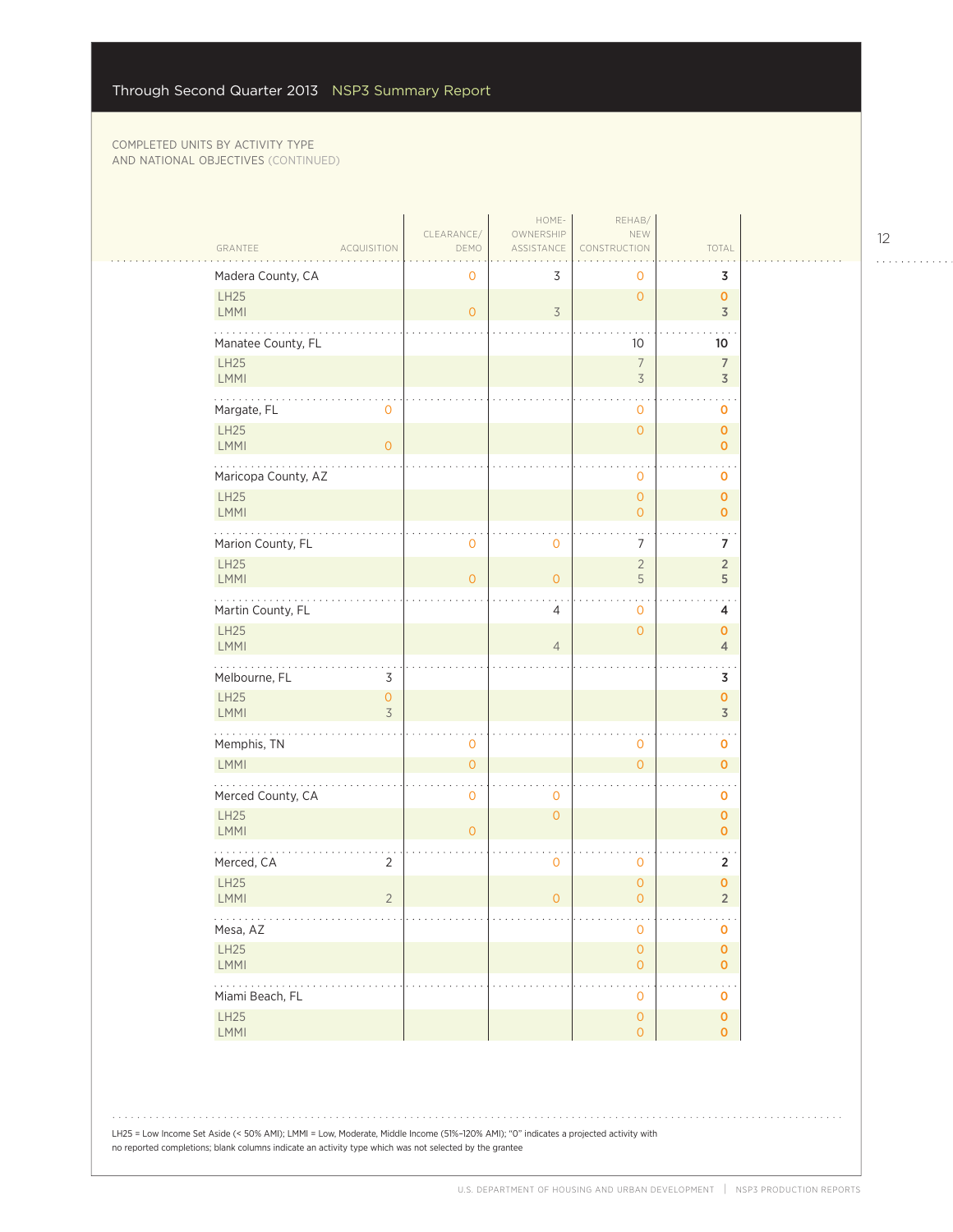$\sim$  .

| GRANTEE<br><b>ACQUISITION</b>                   | CLEARANCE/<br>DEMO  | HOME-<br>OWNERSHIP<br>ASSISTANCE | REHAB/<br>NEW<br>CONSTRUCTION         | TOTAL                          |  |
|-------------------------------------------------|---------------------|----------------------------------|---------------------------------------|--------------------------------|--|
| Madera County, CA                               | 0                   | 3                                | 0                                     | 3                              |  |
| LH25<br>LMMI                                    | $\overline{O}$      | $\overline{3}$                   | $\overline{O}$                        | $\mathbf{O}$<br>$\overline{3}$ |  |
| Manatee County, FL                              |                     |                                  | 10                                    | 10                             |  |
| LH25<br><b>LMMI</b>                             |                     |                                  | $\overline{7}$<br>$\overline{3}$      | 7<br>$\overline{3}$            |  |
| .<br>Margate, FL<br>$\mathbf{O}$<br><b>LH25</b> |                     |                                  | $\mathbf 0$<br>$\overline{O}$         | o<br>$\mathbf 0$               |  |
| LMMI<br>$\overline{0}$                          |                     |                                  |                                       | $\mathbf{O}$                   |  |
| Maricopa County, AZ<br>LH25                     |                     |                                  | 0<br>$\overline{O}$                   | 0<br>$\mathbf 0$               |  |
| <b>LMMI</b>                                     |                     |                                  | $\overline{0}$                        | $\mathbf{O}$                   |  |
| Marion County, FL<br><b>LH25</b>                | 0                   | $\mathbf 0$                      | 7<br>$\overline{2}$                   | 7<br>$\overline{2}$            |  |
| <b>LMMI</b><br>.                                | $\overline{O}$      | $\overline{0}$                   | 5<br>$\bullet$                        | 5                              |  |
| Martin County, FL<br>LH25                       |                     | $\overline{4}$                   | $\mathbf 0$<br>$\overline{O}$         | 4<br>$\mathbf 0$               |  |
| <b>LMMI</b>                                     |                     | $\overline{4}$                   |                                       | $\overline{4}$                 |  |
| Melbourne, FL<br>3<br>LH25<br>$\circ$           |                     |                                  |                                       | 3<br>$\mathbf 0$               |  |
| <b>LMMI</b><br>3<br>.                           |                     |                                  |                                       | $\overline{3}$                 |  |
| Memphis, TN<br><b>LMMI</b>                      | 0<br>$\overline{O}$ |                                  | 0<br>$\overline{0}$                   | 0<br>$\mathbf{O}$              |  |
| Merced County, CA                               | $\mathbf 0$         | $\mathbf 0$                      |                                       | 0                              |  |
| <b>LH25</b><br><b>LMMI</b>                      | $\overline{O}$      | $\overline{O}$                   |                                       | $\mathbf 0$<br>$\mathbf{O}$    |  |
| Merced, CA<br>2                                 |                     | 0                                | $\mathbf 0$                           | $\overline{2}$                 |  |
| LH25<br>$\overline{2}$<br><b>LMMI</b>           |                     | $\overline{0}$                   | $\mathbf 0$<br>$\overline{0}$         | $\pmb{0}$<br>$\overline{2}$    |  |
| .<br>Mesa, AZ                                   |                     |                                  | 0                                     | o                              |  |
| LH25<br>LMMI                                    |                     |                                  | $\mathsf{O}\xspace$<br>$\mathbf{O}$   | $\mathbf 0$<br>$\mathbf{O}$    |  |
| .<br>Miami Beach, FL                            |                     |                                  | $\bar{z}$<br>0                        | 0                              |  |
| LH25<br>LMMI                                    |                     |                                  | $\mathsf{O}\xspace$<br>$\overline{0}$ | $\mathbf 0$<br>$\overline{0}$  |  |
|                                                 |                     |                                  |                                       |                                |  |

LH25 = Low Income Set Aside (< 50% AMI); LMMI = Low, Moderate, Middle Income (51%–120% AMI); "0" indicates a projected activity with no reported completions; blank columns indicate an activity type which was not selected by the grantee

. . . . . . . . . . . .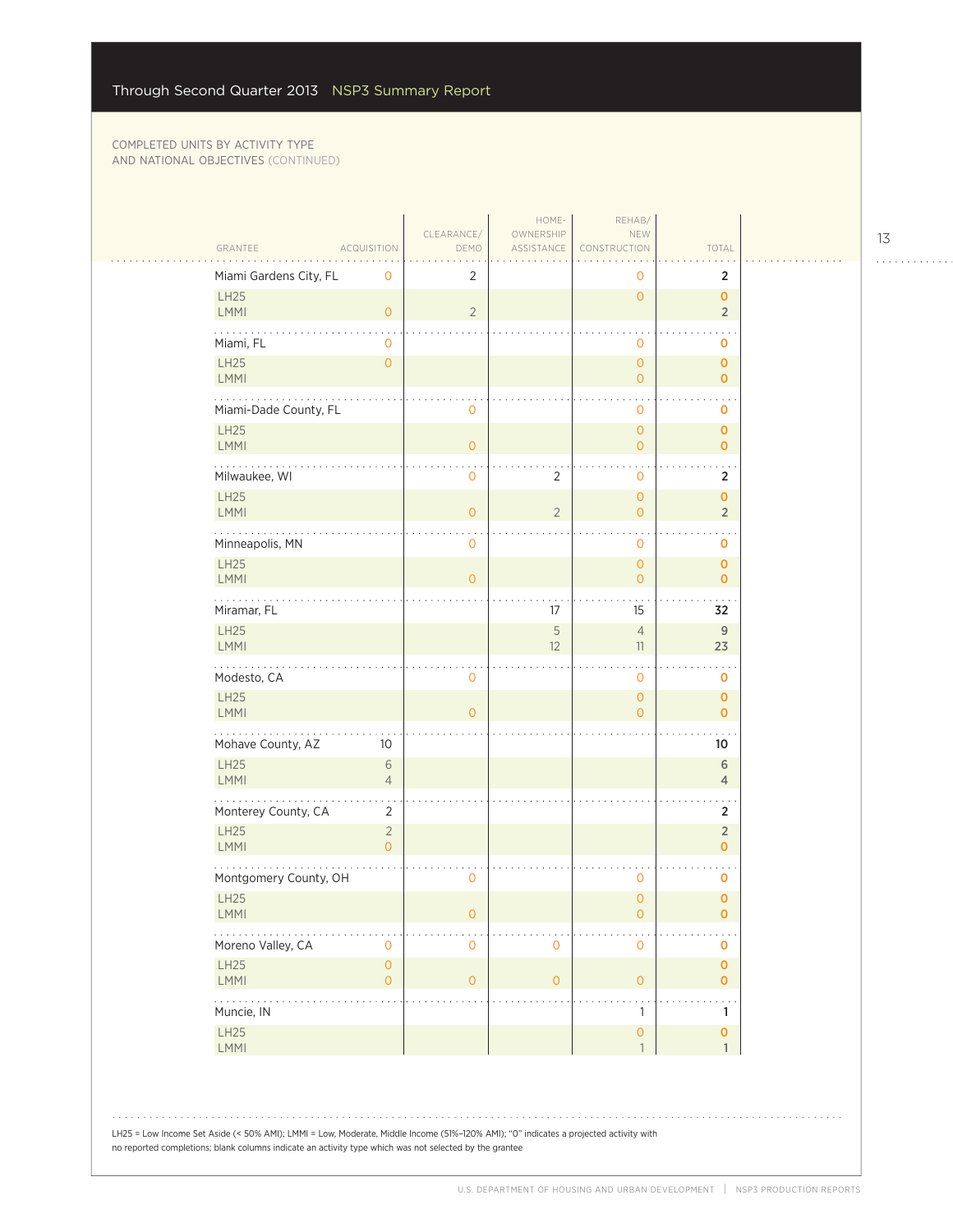| GRANTEE                             | <b>ACQUISITION</b>               | CLEARANCE/<br>DEMO | HOME-<br>OWNERSHIP<br>ASSISTANCE | REHAB/<br>NEW<br>CONSTRUCTION    | TOTAL                            |
|-------------------------------------|----------------------------------|--------------------|----------------------------------|----------------------------------|----------------------------------|
| Miami Gardens City, FL              | 0                                | 2                  |                                  | 0                                | $\overline{2}$                   |
| LH25<br>LMMI                        | $\overline{O}$                   | $\overline{2}$     |                                  | $\overline{0}$                   | $\overline{0}$<br>$\overline{2}$ |
| Miami, FL                           | 0                                |                    |                                  | 0                                | 0                                |
| LH25<br><b>LMMI</b>                 | $\overline{O}$                   |                    |                                  | $\circ$<br>$\overline{O}$        | $\mathbf{O}$<br>$\overline{0}$   |
| Miami-Dade County, FL               |                                  | $\mathbf 0$        |                                  | $\mathbf{0}$                     | $\mathbf 0$                      |
| LH25<br><b>LMMI</b>                 |                                  | $\mathbf{O}$       |                                  | $\circ$<br>$\overline{O}$        | $\overline{O}$<br>$\mathbf{0}$   |
| Milwaukee, WI                       |                                  | $\mathbf 0$        | 2                                | 0                                | 2                                |
| <b>LH25</b><br><b>LMMI</b>          |                                  | $\mathbf{O}$       | $\overline{2}$                   | $\overline{O}$<br>0              | $\overline{0}$<br>$\overline{2}$ |
| Minneapolis, MN                     |                                  | $\mathbf 0$        |                                  | $\mathbf 0$                      | $\mathbf 0$                      |
| <b>LH25</b><br><b>LMMI</b>          |                                  | $\overline{0}$     |                                  | $\overline{0}$<br>$\overline{0}$ | $\mathbf{O}$<br>$\mathbf{O}$     |
| $\sim$ $\sim$ $\sim$<br>Miramar, FL |                                  |                    | 17                               | 15                               | 32                               |
| <b>LH25</b><br><b>LMMI</b>          |                                  |                    | $\sqrt{5}$<br>12                 | $\overline{4}$<br>11             | 9<br>23                          |
| Modesto, CA                         |                                  | $\mathbf 0$        |                                  | $\mathbf 0$                      | $\mathbf 0$                      |
| LH25<br><b>LMMI</b>                 |                                  | $\overline{0}$     |                                  | $\overline{O}$<br>$\overline{O}$ | $\mathbf{O}$<br>$\overline{0}$   |
| .<br>Mohave County, AZ              | 10                               |                    |                                  |                                  | 10                               |
| LH25<br>LMMI                        | 6<br>$\overline{4}$              |                    |                                  |                                  | 6<br>$\overline{4}$              |
| Monterey County, CA                 | 2                                |                    |                                  |                                  | 2                                |
| <b>LH25</b><br><b>LMMI</b>          | $\overline{2}$<br>$\overline{O}$ |                    |                                  |                                  | $\overline{2}$<br>$\overline{0}$ |
| Montgomery County, OH               |                                  | $\mathbf 0$        |                                  | 0                                | 0                                |
| <b>LH25</b><br><b>LMMI</b>          |                                  | $\mathbf 0$        |                                  | $\overline{0}$<br>0              | $\mathbf{O}$<br>0                |
| Moreno Valley, CA                   | 0                                | $\mathbf 0$        | $\mathbf 0$                      | 0                                | $\mathbf 0$                      |
| LH25<br><b>LMMI</b>                 | $\mathsf{O}$<br>$\overline{0}$   | $\mathbf 0$        | $\circ$                          | $\mathsf{O}\xspace$              | $\mathbf{o}$<br>$\mathbf{0}$     |
| $\sim$ $\sim$ $\sim$<br>Muncie, IN  |                                  |                    |                                  | $\mathbf{1}$                     | . .<br>1                         |
| LH25<br>LMMI                        |                                  |                    |                                  | 0<br>$\mathbf{1}$                | $\mathbf 0$<br>$\mathbf{1}$      |

 $1.1.1.1.1.1.1.1.1.1$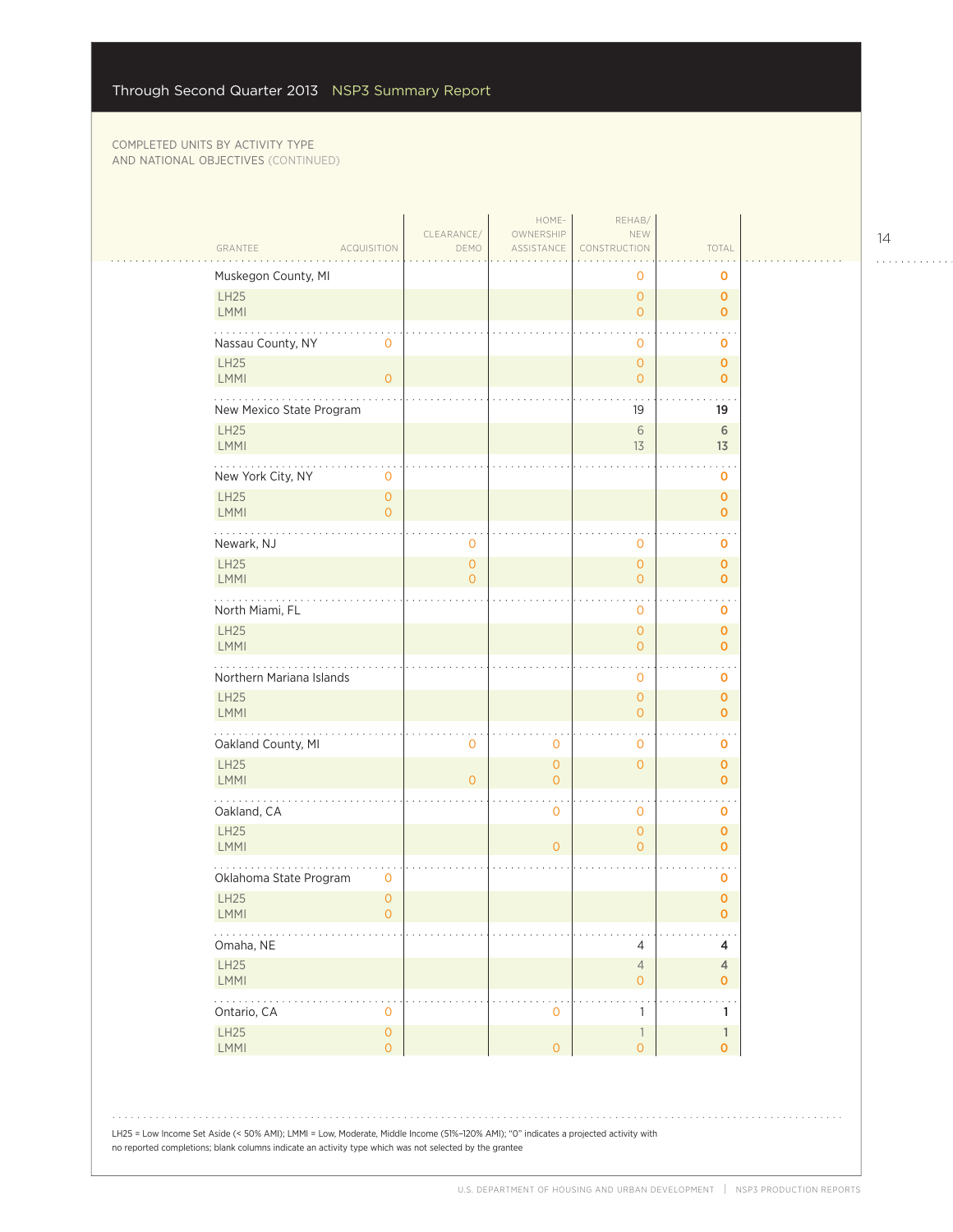$\mathcal{L}_{\mathcal{A}}$ 

| GRANTEE<br><b>ACQUISITION</b>                                                                                                                                                                                                                  | CLEARANCE/<br>DEMO             | HOME-<br>OWNERSHIP<br>ASSISTANCE | REHAB/<br>NEW<br>CONSTRUCTION       | TOTAL                       |  |
|------------------------------------------------------------------------------------------------------------------------------------------------------------------------------------------------------------------------------------------------|--------------------------------|----------------------------------|-------------------------------------|-----------------------------|--|
| Muskegon County, MI                                                                                                                                                                                                                            |                                |                                  | 0                                   | 0                           |  |
| <b>LH25</b><br>LMMI                                                                                                                                                                                                                            |                                |                                  | $\overline{O}$<br>$\overline{O}$    | 0<br>$\mathbf 0$            |  |
| Nassau County, NY<br>0                                                                                                                                                                                                                         |                                |                                  | 0                                   | 0                           |  |
| LH25<br><b>LMMI</b><br>$\circ$                                                                                                                                                                                                                 |                                |                                  | $\overline{0}$<br>$\overline{O}$    | 0<br>$\overline{0}$         |  |
| New Mexico State Program                                                                                                                                                                                                                       |                                |                                  | 19                                  | 19                          |  |
| <b>LH25</b><br><b>LMMI</b>                                                                                                                                                                                                                     |                                |                                  | 6<br>13                             | 6<br>13                     |  |
| New York City, NY<br>$\mathbf 0$                                                                                                                                                                                                               |                                |                                  |                                     | 0                           |  |
| LH25<br>$\mathbf{O}$<br><b>LMMI</b><br>$\mathbf{O}$                                                                                                                                                                                            |                                |                                  |                                     | 0<br>0                      |  |
| Newark, NJ                                                                                                                                                                                                                                     | 0                              |                                  | 0                                   | 0                           |  |
| LH25<br><b>LMMI</b>                                                                                                                                                                                                                            | $\mathbf{O}$<br>$\overline{O}$ |                                  | $\overline{0}$<br>$\mathbf{O}$      | 0<br>0                      |  |
| .<br>North Miami, FL                                                                                                                                                                                                                           |                                |                                  | 0                                   | 0                           |  |
| <b>LH25</b><br><b>LMMI</b>                                                                                                                                                                                                                     |                                |                                  | $\overline{0}$<br>$\overline{O}$    | 0<br>$\overline{0}$         |  |
| Northern Mariana Islands                                                                                                                                                                                                                       |                                |                                  | 0                                   | 0                           |  |
| LH25<br>LMMI                                                                                                                                                                                                                                   |                                |                                  | $\overline{0}$<br>$\overline{O}$    | 0<br>$\overline{0}$         |  |
| .<br>Oakland County, MI                                                                                                                                                                                                                        | 0                              | $\mathbf{O}$                     | 0                                   | 0                           |  |
| LH25<br>LMMI                                                                                                                                                                                                                                   | $\Omega$                       | $\overline{O}$<br>$\overline{O}$ | $\overline{O}$                      | 0<br>0                      |  |
| Oakland, CA                                                                                                                                                                                                                                    |                                | $\mathbf{0}$                     | $\mathbf 0$                         | 0                           |  |
| <b>LH25</b><br><b>LMMI</b>                                                                                                                                                                                                                     |                                | $\overline{O}$                   | $\overline{0}$<br>$\overline{O}$    | 0<br>$\overline{0}$         |  |
| Oklahoma State Program<br>0                                                                                                                                                                                                                    |                                |                                  |                                     | 0                           |  |
| <b>LH25</b><br>$\mathbf{O}$<br><b>LMMI</b><br>0                                                                                                                                                                                                |                                |                                  |                                     | $\overline{0}$<br>0         |  |
| Omaha, NE                                                                                                                                                                                                                                      |                                |                                  | 4                                   | 4                           |  |
| LH25<br>LMMI                                                                                                                                                                                                                                   |                                |                                  | $\sqrt{4}$<br>0                     | $\overline{4}$<br>0         |  |
| والمالم والمالي<br>Ontario, CA<br>$\mathbf 0$                                                                                                                                                                                                  |                                | $\mathbf 0$                      | 1                                   | 1                           |  |
| LH25<br>$\mathsf{O}\xspace$<br>LMMI<br>$\overline{O}$                                                                                                                                                                                          |                                | $\overline{0}$                   | $\mathbb{1}$<br>$\mathsf{O}\xspace$ | $\mathbf{1}$<br>$\mathbf 0$ |  |
|                                                                                                                                                                                                                                                |                                |                                  |                                     |                             |  |
| LH25 = Low Income Set Aside (< 50% AMI); LMMI = Low, Moderate, Middle Income (51%-120% AMI); "0" indicates a projected activity with<br>no reported completions; blank columns indicate an activity type which was not selected by the grantee |                                |                                  |                                     |                             |  |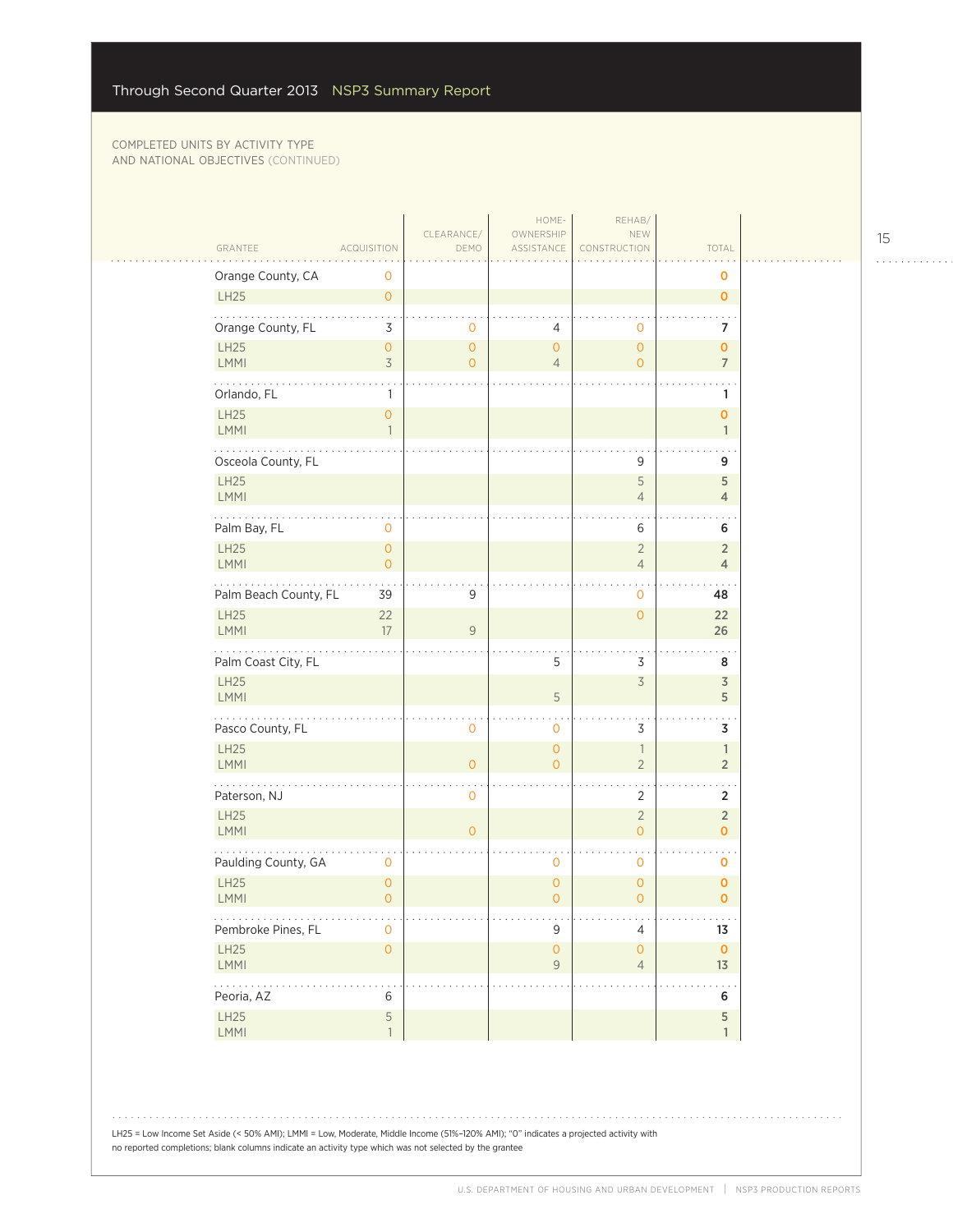| GRANTEE                    | <b>ACQUISITION</b>                    | CLEARANCE/<br>DEMO             | HOME-<br>OWNERSHIP<br>ASSISTANCE             | REHAB/<br>NEW<br>CONSTRUCTION    | TOTAL                                |
|----------------------------|---------------------------------------|--------------------------------|----------------------------------------------|----------------------------------|--------------------------------------|
| Orange County, CA          | 0                                     |                                |                                              |                                  | o                                    |
| LH25                       | $\overline{0}$                        |                                |                                              |                                  | $\mathbf{O}$                         |
| Orange County, FL          | 3                                     | 0                              | 4                                            | $\circ$                          | 7                                    |
| <b>LH25</b><br><b>LMMI</b> | $\overline{O}$<br>$\overline{3}$      | $\mathbf{O}$<br>$\overline{O}$ | $\mathbf{O}$<br>$\overline{4}$               | $\mathbf{O}$<br>$\overline{O}$   | $\mathbf{O}$<br>$\overline{7}$       |
| Orlando, FL                | 1                                     |                                |                                              |                                  | 1                                    |
| LH25<br><b>LMMI</b>        | $\overline{0}$<br>$\mathbf{1}$        |                                |                                              |                                  | $\overline{0}$<br>$\mathbf{1}$       |
| Osceola County, FL         |                                       |                                |                                              | 9                                | 9                                    |
| LH25<br>LMMI               |                                       |                                |                                              | 5<br>$\overline{4}$              | 5<br>$\overline{4}$                  |
| Palm Bay, FL               | 0                                     |                                |                                              | 6                                | 6                                    |
| <b>LH25</b><br>LMMI        | $\overline{O}$<br>$\overline{O}$      |                                |                                              | $\overline{2}$<br>$\overline{4}$ | $\overline{2}$<br>$\overline{4}$     |
| Palm Beach County, FL      | 39                                    | 9                              |                                              | $\mathbf{O}$                     | 48                                   |
| LH25<br><b>LMMI</b>        | 22<br>17                              | 9                              |                                              | $\overline{0}$                   | 22<br>26                             |
| Palm Coast City, FL        |                                       |                                | 5                                            | 3                                | 8                                    |
| <b>LH25</b><br><b>LMMI</b> |                                       |                                | 5                                            | $\overline{3}$                   | $\overline{3}$<br>5                  |
| Pasco County, FL           |                                       | 0                              | $\mathbf 0$                                  | 3                                | 3                                    |
| LH25<br>LMMI               |                                       | $\circ$                        | $\overline{O}$<br>0                          | $\overline{1}$<br>$\overline{2}$ | $\mathbb{1}$<br>$\overline{2}$       |
| Paterson, NJ               |                                       | 0                              |                                              | $\overline{2}$                   | 2                                    |
| LH25<br>LMMI               |                                       | $\overline{O}$                 |                                              | $\overline{2}$<br>$\overline{0}$ | $\overline{2}$<br>$\mathbf{O}$       |
| Paulding County, GA        | $\mathbf 0$                           |                                | $\mathbf 0$                                  | $\mathbf 0$                      | o                                    |
| <b>LH25</b><br>LMMI        | $\mathsf{O}\xspace$<br>$\overline{O}$ |                                | $\mathbf 0$<br>$\overline{0}$                | $\mathbf{O}$<br>0                | $\mathbf 0$<br>$\mathbf{o}$          |
| .<br>Pembroke Pines, FL    | 0                                     |                                | 9                                            | 4                                | $\alpha$ , $\alpha$ , $\alpha$<br>13 |
| LH25<br><b>LMMI</b>        | $\overline{O}$                        |                                | $\circ$<br>$\mathsf{g}% _{T}=\mathsf{g}_{T}$ | $\overline{O}$<br>$\overline{4}$ | $\mathbf{0}$<br>13                   |
| 1999-199<br>Peoria, AZ     | 6                                     |                                |                                              |                                  | 6                                    |
| LH25<br>LMMI               | 5<br>$\mathbf{1}$                     |                                |                                              |                                  | 5<br>$\mathbf{1}$                    |

المتحدث

. . . . . . . . . . . .

LH25 = Low Income Set Aside (< 50% AMI); LMMI = Low, Moderate, Middle Income (51%–120% AMI); "0" indicates a projected activity with no reported completions; blank columns indicate an activity type which was not selected by the grantee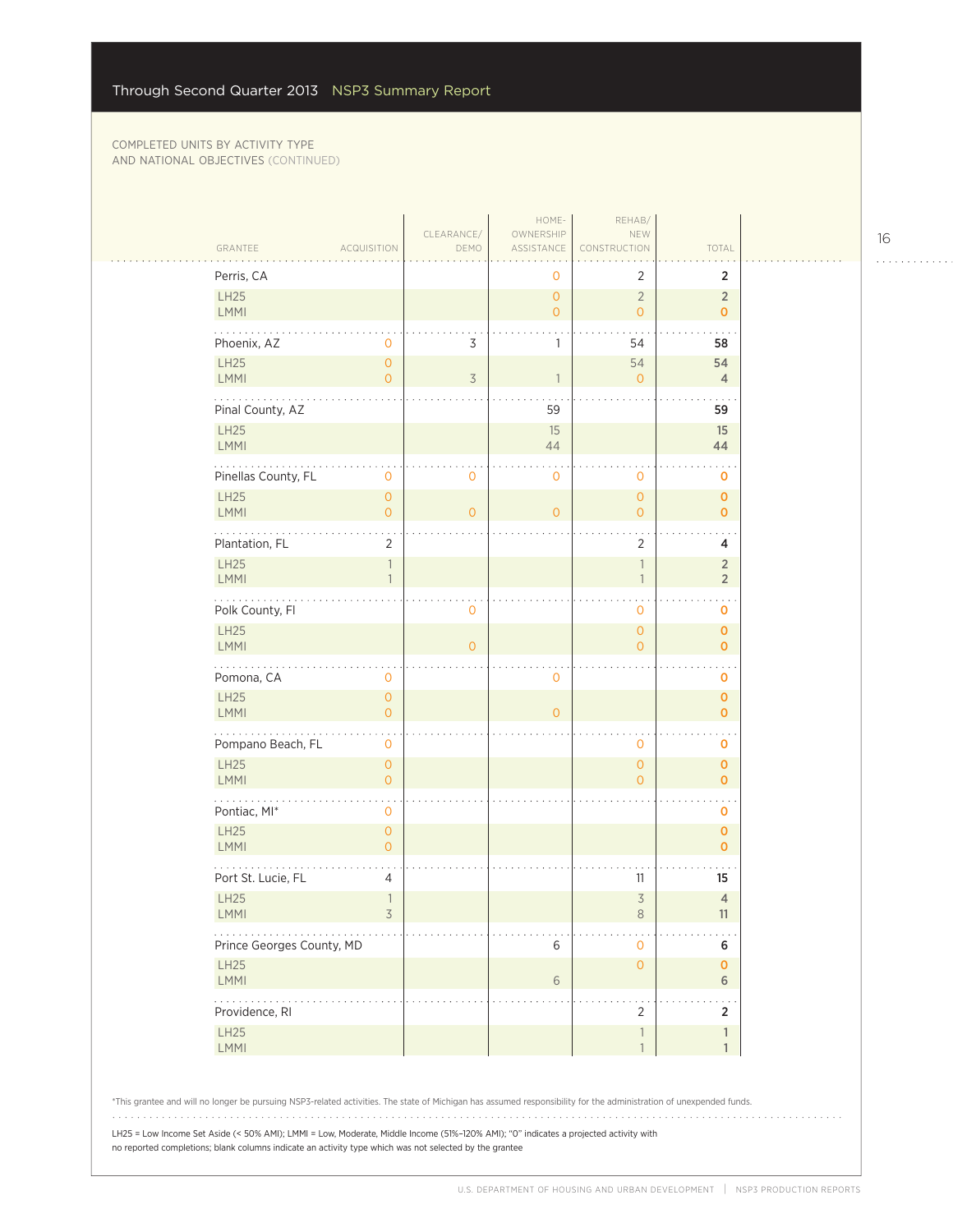$\sim$  .

| GRANTEE                    | <b>ACQUISITION</b>                       | CLEARANCE/<br>DEMO | HOME-<br>OWNERSHIP<br>ASSISTANCE | REHAB/<br>NEW<br>CONSTRUCTION    | TOTAL                             |
|----------------------------|------------------------------------------|--------------------|----------------------------------|----------------------------------|-----------------------------------|
| Perris, CA                 |                                          |                    | 0                                | 2                                | $\overline{2}$                    |
| LH25<br><b>LMMI</b>        |                                          |                    | $\overline{O}$<br>$\overline{O}$ | $\overline{2}$<br>$\overline{O}$ | $\sqrt{2}$<br>$\mathbf 0$         |
| Phoenix, AZ                | $\mathbf 0$                              | 3                  | 1                                | 54                               | 58                                |
| <b>LH25</b><br><b>LMMI</b> | $\overline{O}$<br>$\circ$                | $\overline{3}$     | 1                                | 54<br>$\circ$                    | 54<br>$\overline{4}$              |
| Pinal County, AZ           |                                          |                    | 59                               |                                  | 59                                |
| <b>LH25</b><br>LMMI        |                                          |                    | 15<br>44                         |                                  | 15<br>44                          |
| Pinellas County, FL        | 0                                        | $\mathbf 0$        | 0                                | 0                                | 0                                 |
| <b>LH25</b><br><b>LMMI</b> | $\mathsf{O}\xspace$<br>$\overline{O}$    | $\mathbf{O}$       | $\circ$                          | $\overline{0}$<br>$\mathbf{0}$   | $\pmb{\mathsf{O}}$<br>$\mathbf 0$ |
| Plantation, FL             | $\overline{2}$                           |                    |                                  | $\overline{2}$                   | 4                                 |
| LH25<br><b>LMMI</b>        | $\overline{\phantom{a}}$<br>$\mathbf{1}$ |                    |                                  | $\mathbf{1}$<br>$\overline{1}$   | $\sqrt{2}$<br>$\sqrt{2}$          |
| .<br>Polk County, Fl       |                                          | 0                  |                                  | 0                                | 0                                 |
| <b>LH25</b><br>LMMI        |                                          | $\Omega$           |                                  | $\overline{0}$<br>$\Omega$       | $\mathbf 0$<br>$\mathbf{o}$       |
| Pomona, CA                 | $\mathbf{0}$                             |                    | 0                                |                                  | o                                 |
| <b>LH25</b><br><b>LMMI</b> | $\mathsf{O}\xspace$<br>$\circ$           |                    | $\overline{O}$                   |                                  | $\pmb{0}$<br>$\mathbf 0$          |
| Pompano Beach, FL          | $\mathbf 0$                              |                    |                                  | $\mathbf 0$                      | 0                                 |
| <b>LH25</b><br>LMMI        | $\circ$<br>$\circ$                       |                    |                                  | $\overline{0}$<br>$\overline{O}$ | $\mathbf 0$<br>$\mathbf 0$        |
| Pontiac, MI*               | 0                                        |                    |                                  |                                  | 0                                 |
| <b>LH25</b><br><b>LMMI</b> | $\circ$<br>$\circ$                       |                    |                                  |                                  | $\mathbf 0$<br>$\mathbf 0$        |
| Port St. Lucie, FL         | $\overline{4}$                           |                    |                                  | 11                               | 15                                |
| <b>LH25</b><br><b>LMMI</b> | $\overline{1}$<br>3                      |                    |                                  | $\overline{3}$<br>$\,8\,$        | $\overline{4}$<br>11              |
| Prince Georges County, MD  |                                          |                    | 6                                | 0                                | 6                                 |
| <b>LH25</b><br>LMMI        |                                          |                    | 6                                | $\overline{0}$                   | $\pmb{0}$<br>$6\phantom{1}$       |
| .<br>Providence, RI        |                                          |                    |                                  | $\overline{2}$                   | $\overline{2}$                    |
| LH25<br><b>LMMI</b>        |                                          |                    |                                  | 1<br>$\mathbf{1}$                | 1<br>1                            |

LH25 = Low Income Set Aside (< 50% AMI); LMMI = Low, Moderate, Middle Income (51%–120% AMI); "0" indicates a projected activity with no reported completions; blank columns indicate an activity type which was not selected by the grantee

16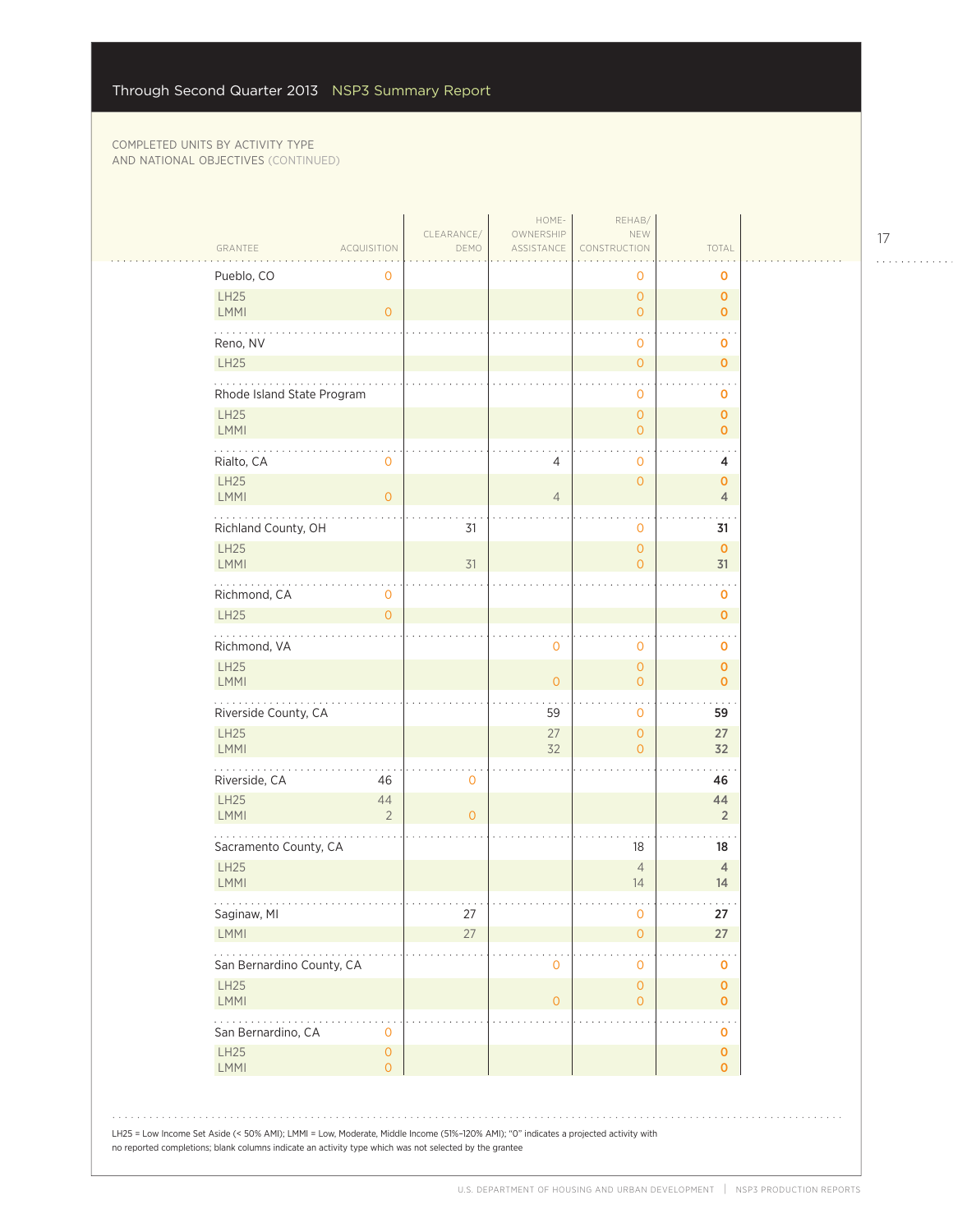| GRANTEE<br>ACQUISITION                                                                                                                                                                                                                         | CLEARANCE/<br>DEMO | HOME-<br>OWNERSHIP<br>ASSISTANCE | REHAB/<br>NEW<br>CONSTRUCTION              | TOTAL                         |  |
|------------------------------------------------------------------------------------------------------------------------------------------------------------------------------------------------------------------------------------------------|--------------------|----------------------------------|--------------------------------------------|-------------------------------|--|
| Pueblo, CO<br>0                                                                                                                                                                                                                                |                    |                                  | 0                                          | 0                             |  |
| LH25<br><b>LMMI</b><br>$\overline{0}$                                                                                                                                                                                                          |                    |                                  | $\circ$<br>$\circ$                         | $\mathbf 0$<br>$\mathbf{O}$   |  |
| Reno, NV                                                                                                                                                                                                                                       |                    |                                  | $\mathbf 0$                                | o                             |  |
| LH25                                                                                                                                                                                                                                           |                    |                                  | $\mathsf{O}\xspace$                        | $\mathbf{O}$                  |  |
| Rhode Island State Program                                                                                                                                                                                                                     |                    |                                  | $\mathbf 0$                                | 0                             |  |
| <b>LH25</b><br>LMMI                                                                                                                                                                                                                            |                    |                                  | $\mathsf{O}\xspace$<br>$\circ$             | $\mathbf{o}$<br>$\mathbf{O}$  |  |
| Rialto, CA<br>$\mathsf{O}\xspace$                                                                                                                                                                                                              |                    | 4                                | $\mathbf 0$                                | 4                             |  |
| LH25<br>LMMI<br>$\overline{0}$                                                                                                                                                                                                                 |                    | $\overline{4}$                   | $\circ$                                    | $\mathbf 0$<br>$\overline{4}$ |  |
| Richland County, OH                                                                                                                                                                                                                            | 31                 |                                  | $\mathbf 0$                                | 31                            |  |
| LH25<br><b>LMMI</b>                                                                                                                                                                                                                            | 31                 |                                  | $\circ$<br>$\circ$                         | $\mathbf{0}$<br>31            |  |
| .<br>Richmond, CA<br>0                                                                                                                                                                                                                         |                    |                                  |                                            | 0                             |  |
| LH25<br>$\overline{O}$                                                                                                                                                                                                                         |                    |                                  |                                            | $\mathbf{o}$                  |  |
| .<br>Richmond, VA                                                                                                                                                                                                                              |                    | $\mathbf 0$                      | $\mathbf 0$                                | $\mathbf 0$                   |  |
| LH25<br><b>LMMI</b>                                                                                                                                                                                                                            |                    | $\overline{0}$                   | $\mathsf{O}\xspace$<br>$\overline{0}$      | $\mathbf 0$<br>$\mathbf{O}$   |  |
| Riverside County, CA                                                                                                                                                                                                                           |                    | 59                               | $\mathbf{O}$                               | 59                            |  |
| LH25<br>LMMI                                                                                                                                                                                                                                   |                    | 27<br>32                         | $\overline{0}$<br>$\overline{O}$           | 27<br>32                      |  |
| .<br>Riverside, CA<br>46                                                                                                                                                                                                                       | 0                  |                                  |                                            | 46                            |  |
| LH25<br>44<br><b>LMMI</b><br>$\overline{2}$                                                                                                                                                                                                    | $\overline{O}$     |                                  |                                            | 44<br>$\overline{2}$          |  |
| Sacramento County, CA                                                                                                                                                                                                                          |                    |                                  | 18                                         | 18                            |  |
| LH25<br><b>LMMI</b>                                                                                                                                                                                                                            |                    |                                  | $\overline{4}$<br>14                       | $\overline{4}$<br>14          |  |
| Saginaw, MI                                                                                                                                                                                                                                    | 27                 |                                  | $\mathbf 0$                                | 27                            |  |
| <b>LMMI</b>                                                                                                                                                                                                                                    | 27                 |                                  | $\circ$                                    | 27                            |  |
| San Bernardino County, CA                                                                                                                                                                                                                      |                    | $\mathbf 0$                      | $\mathbf 0$                                | 0                             |  |
| LH25<br><b>LMMI</b>                                                                                                                                                                                                                            |                    | $\overline{0}$                   | $\mathsf{O}\xspace$<br>$\mathsf{O}\xspace$ | $\mathbf 0$<br>$\overline{0}$ |  |
| .<br>San Bernardino, CA<br>0                                                                                                                                                                                                                   |                    |                                  |                                            | 0                             |  |
| LH25<br>$\mathsf{O}\xspace$<br>LMMI<br>0                                                                                                                                                                                                       |                    |                                  |                                            | $\mathbf 0$<br>$\mathbf{O}$   |  |
|                                                                                                                                                                                                                                                |                    |                                  |                                            |                               |  |
|                                                                                                                                                                                                                                                |                    |                                  |                                            |                               |  |
| LH25 = Low Income Set Aside (< 50% AMI); LMMI = Low, Moderate, Middle Income (51%-120% AMI); "0" indicates a projected activity with<br>no reported completions; blank columns indicate an activity type which was not selected by the grantee |                    |                                  |                                            |                               |  |

 $\begin{array}{cccccccccccccc} . & . & . & . & . & . & . & . & . & . & . & . & . \end{array}$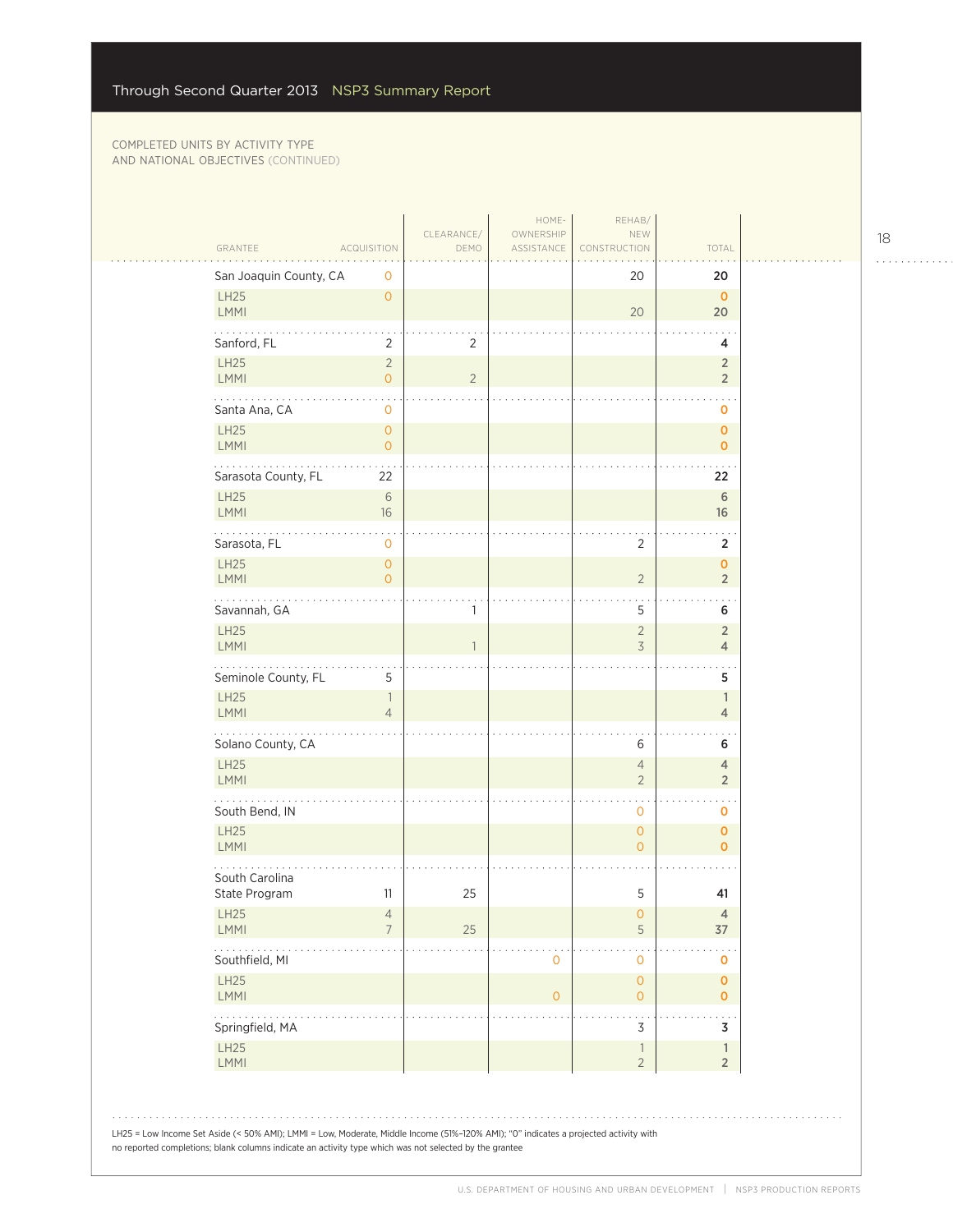| GRANTEE                                                                                                                                                                                                                                        | <b>ACQUISITION</b>                    | CLEARANCE/<br>DEMO | HOME-<br>OWNERSHIP<br>ASSISTANCE | REHAB/<br>NEW<br>CONSTRUCTION              | TOTAL                            |
|------------------------------------------------------------------------------------------------------------------------------------------------------------------------------------------------------------------------------------------------|---------------------------------------|--------------------|----------------------------------|--------------------------------------------|----------------------------------|
| San Joaquin County, CA                                                                                                                                                                                                                         | 0                                     |                    |                                  | 20                                         | 20                               |
| LH25<br>LMMI                                                                                                                                                                                                                                   | $\overline{0}$                        |                    |                                  | 20                                         | $\mathbf 0$<br>20                |
| Sanford, FL                                                                                                                                                                                                                                    | $\overline{2}$                        | $\overline{2}$     |                                  |                                            | 4                                |
| LH25<br><b>LMMI</b>                                                                                                                                                                                                                            | $\sqrt{2}$<br>$\overline{O}$          | $\overline{2}$     |                                  |                                            | $\sqrt{2}$<br>$\sqrt{2}$         |
| .<br>Santa Ana, CA                                                                                                                                                                                                                             | 0                                     |                    |                                  |                                            | o                                |
| LH25<br>LMMI                                                                                                                                                                                                                                   | $\mathsf{O}\xspace$<br>$\overline{0}$ |                    |                                  |                                            | $\mathbf 0$<br>$\mathbf 0$       |
| Sarasota County, FL                                                                                                                                                                                                                            | 22                                    |                    |                                  |                                            | 22                               |
| <b>LH25</b><br>LMMI                                                                                                                                                                                                                            | $\sqrt{6}$<br>16                      |                    |                                  |                                            | $\,$ 6 $\,$<br>16                |
| Sarasota, FL                                                                                                                                                                                                                                   | 0                                     |                    |                                  | $\overline{2}$                             | $\overline{2}$                   |
| LH25<br><b>LMMI</b>                                                                                                                                                                                                                            | $\overline{0}$<br>$\overline{0}$      |                    |                                  | $\overline{2}$                             | $\mathbf 0$<br>$\overline{2}$    |
| $\cdots$<br>Savannah, GA                                                                                                                                                                                                                       |                                       | 1                  |                                  | 5                                          | $\sim$<br>6                      |
| LH25<br>LMMI                                                                                                                                                                                                                                   |                                       | 1                  |                                  | $\overline{2}$<br>3                        | $\sqrt{2}$<br>$\overline{4}$     |
| Seminole County, FL                                                                                                                                                                                                                            | 5                                     |                    |                                  |                                            | $\sim$<br>5                      |
| LH25<br>LMMI                                                                                                                                                                                                                                   | $\mathbb{1}$<br>$\overline{4}$        |                    |                                  |                                            | $\mathbb{1}$<br>$\overline{4}$   |
| .<br>Solano County, CA                                                                                                                                                                                                                         |                                       |                    |                                  | 6                                          | 6                                |
| LH25<br>LMMI                                                                                                                                                                                                                                   |                                       |                    |                                  | $\overline{4}$<br>$\overline{2}$           | $\overline{4}$<br>$\overline{2}$ |
| South Bend, IN                                                                                                                                                                                                                                 |                                       |                    |                                  | $\mathbf 0$                                | o                                |
| <b>LH25</b><br><b>LMMI</b>                                                                                                                                                                                                                     |                                       |                    |                                  | $\circ$<br>$\overline{0}$                  | $\mathbf 0$<br>$\mathbf 0$       |
| South Carolina<br>State Program                                                                                                                                                                                                                | 11                                    | 25                 |                                  | 5                                          | 41                               |
| <b>LH25</b>                                                                                                                                                                                                                                    | 4                                     |                    |                                  | $\overline{0}$                             | 4                                |
| <b>LMMI</b>                                                                                                                                                                                                                                    | $\overline{7}$                        | 25                 |                                  | $\mathsf S$                                | 37                               |
| Southfield, MI                                                                                                                                                                                                                                 |                                       |                    | $\mathbf 0$                      | $\mathbf 0$                                | o                                |
| LH25<br><b>LMMI</b>                                                                                                                                                                                                                            |                                       |                    | $\mathbf{O}$                     | $\mathsf{O}\xspace$<br>$\circ$             | 0<br>$\mathbf 0$                 |
| Springfield, MA                                                                                                                                                                                                                                |                                       |                    |                                  | 3                                          | 3                                |
| LH25<br>LMMI                                                                                                                                                                                                                                   |                                       |                    |                                  | $\overline{\phantom{a}}$<br>$\overline{2}$ | $\mathbb{1}$<br>$\sqrt{2}$       |
| LH25 = Low Income Set Aside (< 50% AMI); LMMI = Low, Moderate, Middle Income (51%-120% AMI); "0" indicates a projected activity with<br>no reported completions; blank columns indicate an activity type which was not selected by the grantee |                                       |                    |                                  |                                            |                                  |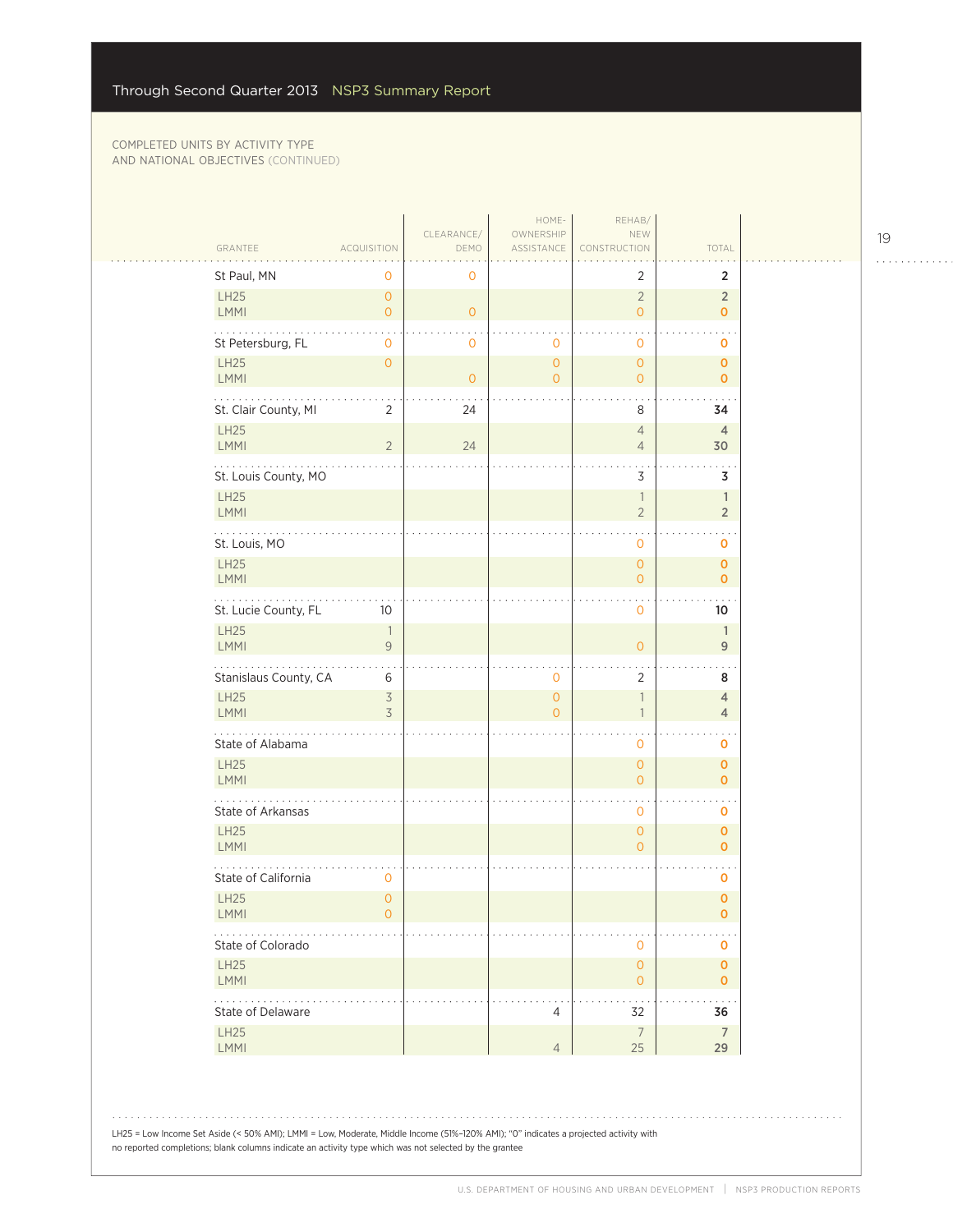| GRANTEE                          | <b>ACQUISITION</b>                       | CLEARANCE/<br>DEMO | HOME-<br>OWNERSHIP<br>ASSISTANCE | REHAB/<br>NEW<br>CONSTRUCTION              | TOTAL                            |
|----------------------------------|------------------------------------------|--------------------|----------------------------------|--------------------------------------------|----------------------------------|
| St Paul, MN                      | 0                                        | $\mathbf 0$        |                                  | 2                                          | 2                                |
| LH25<br>LMMI                     | $\overline{O}$<br>$\circ$                | $\overline{0}$     |                                  | $\overline{2}$<br>$\overline{O}$           | $\overline{2}$<br>$\mathbf{O}$   |
| St Petersburg, FL                | $\ddot{\phantom{0}}$<br>0                | $\mathbf 0$        | 0                                | $\mathbf 0$                                | 0                                |
| LH25<br>LMMI                     | $\mathsf{O}\xspace$                      | $\overline{0}$     | $\overline{0}$<br>$\overline{O}$ | $\mathsf{O}\xspace$<br>$\overline{O}$      | $\mathbf 0$<br>$\mathbf 0$       |
| St. Clair County, MI             | $\overline{2}$                           | 24                 |                                  | 8                                          | 34                               |
| <b>LH25</b><br>LMMI              | $\overline{2}$                           | 24                 |                                  | $\overline{4}$<br>$\overline{4}$           | $\overline{4}$<br>30             |
| $\cdots$<br>St. Louis County, MO |                                          |                    |                                  | 3                                          | 3                                |
| <b>LH25</b><br>LMMI              |                                          |                    |                                  | $\overline{\phantom{a}}$<br>$\overline{2}$ | $\mathbf{1}$<br>$\overline{2}$   |
| St. Louis, MO                    |                                          |                    |                                  | $\mathbf 0$                                | $\ddotsc$<br>0                   |
| LH25<br>LMMI                     |                                          |                    |                                  | $\mathbf 0$<br>$\overline{O}$              | $\mathbf 0$<br>$\mathbf{O}$      |
| .<br>St. Lucie County, FL        | 10                                       |                    |                                  | $\mathbf 0$                                | 10                               |
| <b>LH25</b><br>LMMI              | $\overline{\phantom{a}}$<br>$\mathsf{9}$ |                    |                                  | $\mathbf{O}$                               | $\mathbf{1}$<br>9                |
| Stanislaus County, CA            | 6                                        |                    | 0                                | 2                                          | 8                                |
| <b>LH25</b><br>LMMI              | $\overline{3}$<br>3                      |                    | $\overline{O}$<br>$\overline{O}$ | $\overline{\phantom{a}}$<br>$\overline{1}$ | $\overline{4}$<br>$\overline{4}$ |
| State of Alabama                 |                                          |                    |                                  | $\mathbf 0$                                | $\mathbf 0$                      |
| LH25<br>LMMI                     |                                          |                    |                                  | $\mathsf{O}\xspace$<br>$\overline{O}$      | $\mathbf 0$<br>$\mathbf{O}$      |
| State of Arkansas                |                                          |                    |                                  | $\mathbf 0$                                | O                                |
| <b>LH25</b><br>LMMI              |                                          |                    |                                  | $\mathbf{O}$<br>$\overline{0}$             | $\mathbf{O}$<br>$\mathbf 0$      |
| State of California              | 0                                        |                    |                                  |                                            | 0                                |
| <b>LH25</b><br><b>LMMI</b>       | $\overline{0}$<br>$\mathsf{O}\xspace$    |                    |                                  |                                            | $\mathbf 0$<br>0                 |
| State of Colorado                |                                          |                    |                                  | $\mathbf 0$                                | O                                |
| LH25<br>LMMI                     |                                          |                    |                                  | $\mathsf{O}$<br>$\mathbf{O}$               | $\pmb{0}$<br>$\mathbf{O}$        |
| .<br>State of Delaware           |                                          |                    | $\overline{4}$                   | 32                                         | .<br>36                          |
| LH25<br>LMMI                     |                                          |                    | $\overline{4}$                   | $\overline{7}$<br>25                       | $7\overline{ }$<br>29            |

LH25 = Low Income Set Aside (< 50% AMI); LMMI = Low, Moderate, Middle Income (51%–120% AMI); "0" indicates a projected activity with no reported completions; blank columns indicate an activity type which was not selected by the grantee

. . . . . . . . . . . .

 $\mathbb{R}$  . .

 $\bar{z}$  is a  $\bar{z}$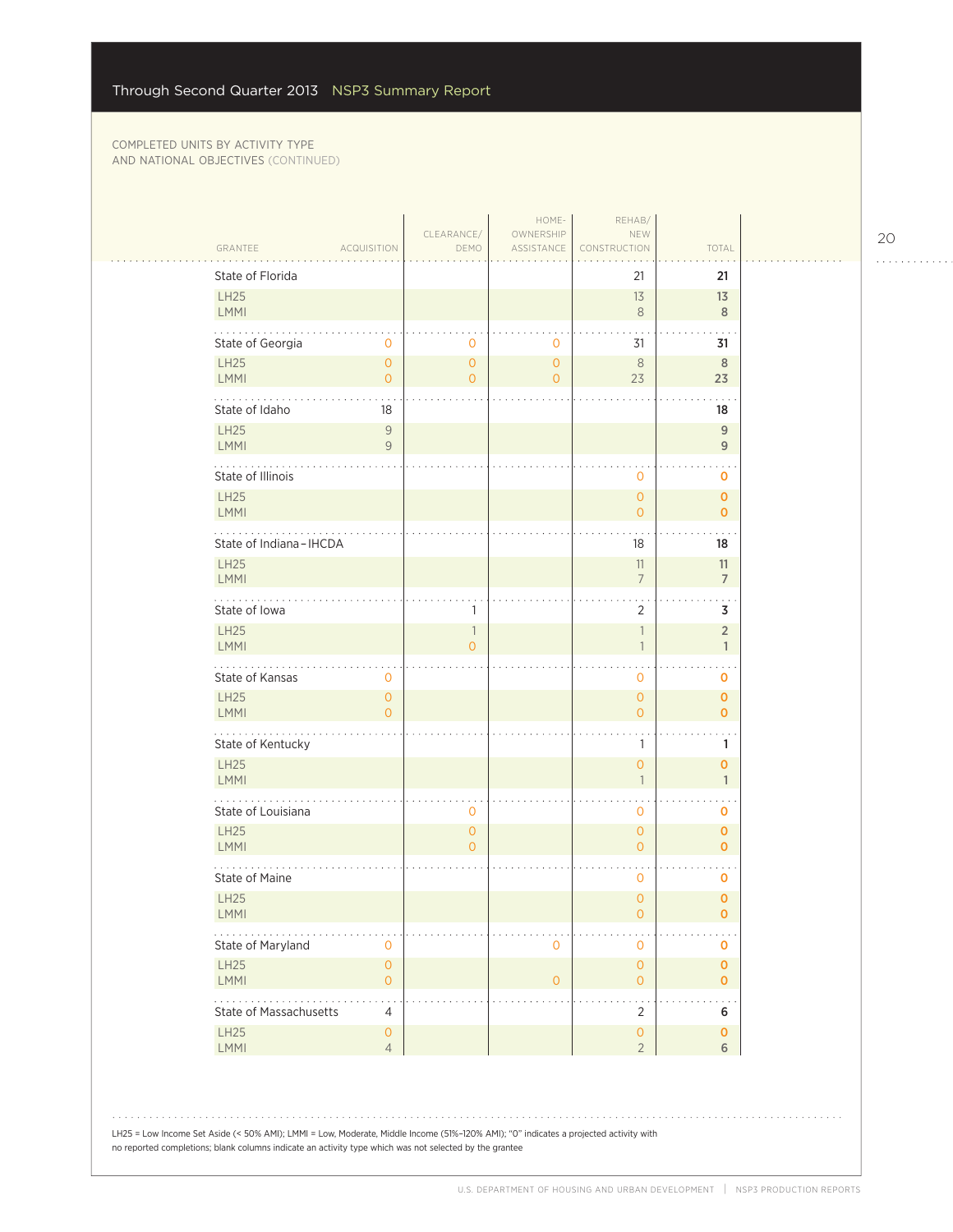|                                                              | CLEARANCE/                            | HOME-                                 | REHAB/                                 |                               |  |
|--------------------------------------------------------------|---------------------------------------|---------------------------------------|----------------------------------------|-------------------------------|--|
| GRANTEE<br><b>ACQUISITION</b>                                | DEMO                                  | OWNERSHIP<br>ASSISTANCE               | NEW<br>CONSTRUCTION                    | TOTAL                         |  |
| State of Florida                                             |                                       |                                       | 21                                     | 21                            |  |
| LH25                                                         |                                       |                                       | 13                                     | 13                            |  |
| <b>LMMI</b>                                                  |                                       |                                       | $\,8\,$                                | 8                             |  |
| State of Georgia<br>$\mathbf 0$                              | 0                                     | $\mathbf 0$                           | 31                                     | 31                            |  |
| LH25<br>$\mathsf{O}\xspace$<br><b>LMMI</b><br>$\overline{O}$ | $\mathsf{O}\xspace$<br>$\overline{O}$ | $\mathsf{O}\xspace$<br>$\overline{0}$ | $\,8\,$<br>23                          | $\,$ 8 $\,$<br>23             |  |
| State of Idaho<br>18                                         |                                       |                                       |                                        | 18                            |  |
| <b>LH25</b><br>$\overline{9}$                                |                                       |                                       |                                        | $\mathsf g$                   |  |
| LMMI<br>$\overline{9}$                                       |                                       |                                       |                                        | 9                             |  |
| State of Illinois                                            |                                       |                                       | 0                                      | 0                             |  |
| <b>LH25</b><br>LMMI                                          |                                       |                                       | $\overline{0}$<br>$\mathbf{O}$         | $\mathbf 0$<br>$\mathbf 0$    |  |
|                                                              |                                       |                                       |                                        | $\ddotsc$                     |  |
| State of Indiana-IHCDA                                       |                                       |                                       | 18                                     | 18                            |  |
| <b>LH25</b><br><b>LMMI</b>                                   |                                       |                                       | 11<br>$\overline{7}$                   | 11<br>$\overline{7}$          |  |
| a a shekarar a<br>State of Iowa                              | 1                                     |                                       | $\ddot{\phantom{1}}$<br>$\overline{2}$ | $\ddotsc$<br>3                |  |
| <b>LH25</b>                                                  | $\mathbf{1}$                          |                                       | $\overline{\phantom{a}}$               | $\overline{2}$                |  |
| LMMI                                                         | $\overline{O}$                        |                                       | $\overline{1}$                         | $\mathbf{1}$                  |  |
| State of Kansas<br>0                                         |                                       |                                       | 0                                      | $\mathbf 0$                   |  |
| LH25<br>$\mathbf{O}$<br>LMMI<br>$\Omega$                     |                                       |                                       | $\overline{O}$<br>$\overline{O}$       | $\mathbf 0$<br>$\mathbf{0}$   |  |
| .                                                            |                                       |                                       |                                        |                               |  |
| State of Kentucky<br>LH25                                    |                                       |                                       | 1<br>$\overline{0}$                    | 1<br>$\mathbf 0$              |  |
| LMMI                                                         |                                       |                                       | $\overline{1}$                         | $\mathbf{1}$                  |  |
| State of Louisiana                                           | 0                                     |                                       | 0                                      | $\mathbf 0$                   |  |
| <b>LH25</b>                                                  | $\overline{O}$                        |                                       | $\overline{0}$                         | $\mathbf 0$                   |  |
| LMMI                                                         | $\overline{0}$                        |                                       | $\overline{O}$                         | $\mathbf{O}$                  |  |
| State of Maine                                               |                                       |                                       | 0                                      | $\mathbf 0$                   |  |
| <b>LH25</b><br><b>LMMI</b>                                   |                                       |                                       | $\overline{0}$<br>0                    | $\mathbf 0$<br>0              |  |
| State of Maryland<br>$\mathbf 0$                             |                                       | $\mathbf 0$                           | 0                                      | $\mathbf 0$                   |  |
| LH25<br>$\mathsf{O}\xspace$                                  |                                       |                                       | $\mathsf{O}\xspace$                    | $\pmb{0}$                     |  |
| LMMI<br>$\mathsf{O}\xspace$<br>.                             |                                       | $\mathsf O$                           | $\mathsf{O}\xspace$                    | $\mathbf{O}$                  |  |
| State of Massachusetts<br>$\overline{4}$                     |                                       |                                       | $\overline{2}$                         | 6                             |  |
| LH25<br>$\mathsf{O}\xspace$<br>LMMI<br>$\overline{4}$        |                                       |                                       | $\mathsf{O}\xspace$<br>$\overline{2}$  | $\mathbf 0$<br>$6\phantom{a}$ |  |
|                                                              |                                       |                                       |                                        |                               |  |
|                                                              |                                       |                                       |                                        |                               |  |
|                                                              |                                       |                                       |                                        |                               |  |

LH25 = Low Income Set Aside (< 50% AMI); LMMI = Low, Moderate, Middle Income (51%–120% AMI); "0" indicates a projected activity with no reported completions; blank columns indicate an activity type which was not selected by the grantee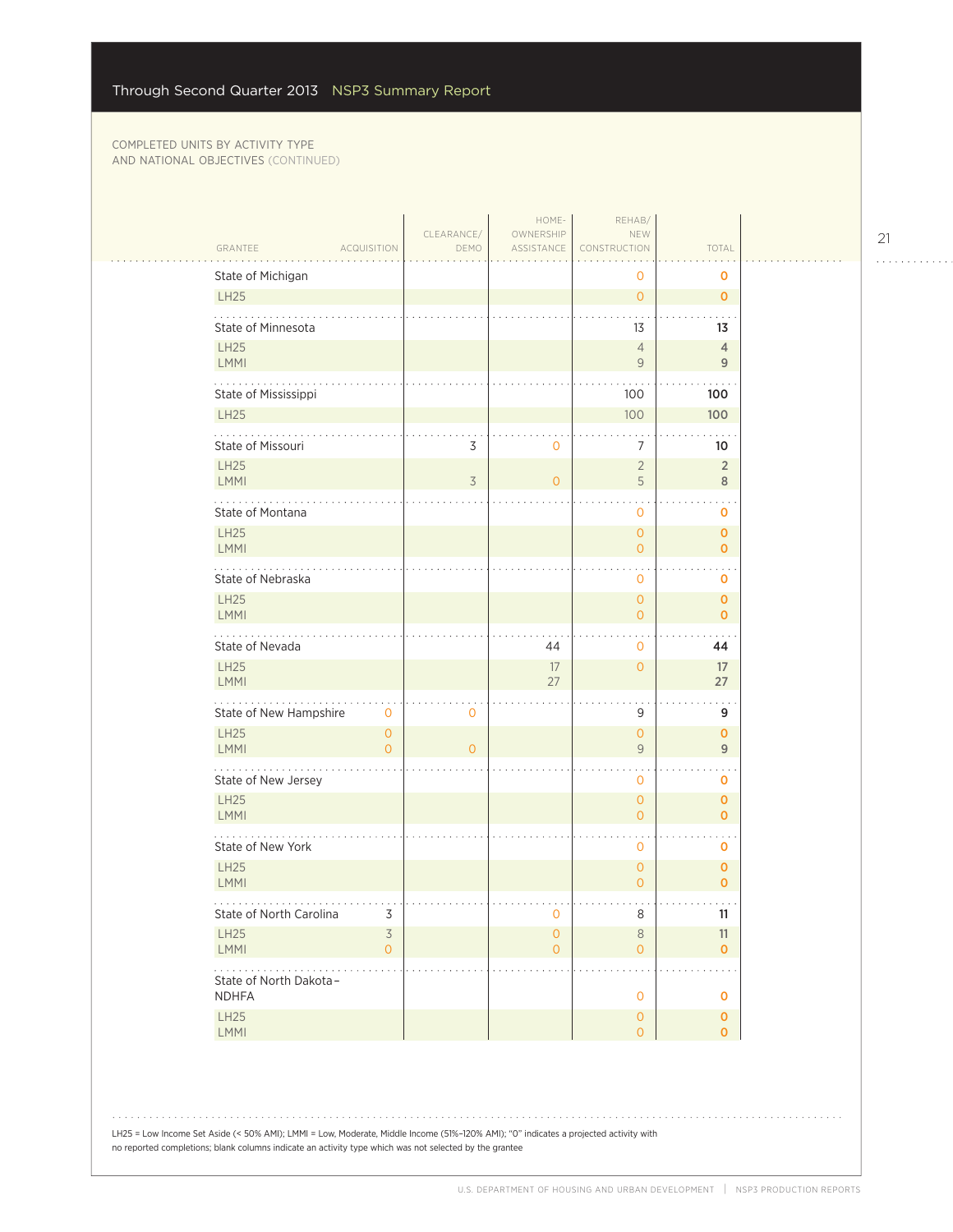| GRANTEE                                | <b>ACQUISITION</b>                    | CLEARANCE/<br>DEMO | HOME-<br>OWNERSHIP<br>ASSISTANCE      | REHAB/<br>NEW<br>CONSTRUCTION         | TOTAL                        |  |
|----------------------------------------|---------------------------------------|--------------------|---------------------------------------|---------------------------------------|------------------------------|--|
|                                        |                                       |                    |                                       | 0                                     | $\mathbf 0$                  |  |
| State of Michigan<br><b>LH25</b>       |                                       |                    |                                       | $\overline{O}$                        | $\mathbf 0$                  |  |
| State of Minnesota                     |                                       |                    |                                       | 13                                    | 13                           |  |
| <b>LH25</b><br><b>LMMI</b>             |                                       |                    |                                       | $\overline{4}$<br>9                   | $\overline{4}$<br>9          |  |
| State of Mississippi                   |                                       |                    |                                       | 100                                   | 100                          |  |
| LH25                                   |                                       |                    |                                       | 100                                   | 100                          |  |
| .<br>State of Missouri                 |                                       | 3                  | $\mathbf{0}$                          | 7                                     | 10                           |  |
| <b>LH25</b><br>LMMI                    |                                       | 3                  | $\circ$                               | $\overline{2}$<br>5                   | $\overline{2}$<br>8          |  |
| State of Montana                       |                                       |                    |                                       | $\mathbf{O}$                          | 0                            |  |
| <b>LH25</b><br>LMMI                    |                                       |                    |                                       | $\circ$<br>0                          | $\mathbf{O}$<br>$\mathbf{O}$ |  |
| State of Nebraska                      |                                       |                    |                                       | 0                                     | 0                            |  |
| <b>LH25</b><br>LMMI                    |                                       |                    |                                       | $\mathbf{O}$<br>$\overline{0}$        | $\mathbf 0$<br>$\mathbf 0$   |  |
| .<br>State of Nevada                   |                                       |                    | 44                                    | 0                                     | 44                           |  |
| <b>LH25</b><br><b>LMMI</b>             |                                       |                    | 17<br>27                              | $\circ$                               | 17<br>27                     |  |
| State of New Hampshire                 | $\mathbf 0$                           | 0                  |                                       | 9                                     | $\sim$<br>9                  |  |
| LH25<br><b>LMMI</b>                    | $\mathsf{O}\xspace$<br>$\overline{0}$ | $\overline{0}$     |                                       | $\circ$<br>$\overline{9}$             | $\mathbf 0$<br>9             |  |
| .<br>State of New Jersey               |                                       |                    |                                       | $\mathbf{0}$                          | 0                            |  |
| LH25<br><b>LMMI</b>                    |                                       |                    |                                       | $\circ$<br>$\circ$                    | $\mathbf 0$<br>$\mathbf{O}$  |  |
| State of New York                      |                                       |                    |                                       | $\mathbf 0$                           | O                            |  |
| <b>LH25</b><br>LMMI                    |                                       |                    |                                       | $\mathbf{O}$<br>$\overline{0}$        | $\pmb{0}$<br>$\mathbf{O}$    |  |
| State of North Carolina                | 3                                     |                    | $\mathsf{O}\xspace$                   | 8                                     | 11                           |  |
| LH25<br>LMMI                           | $\overline{3}$<br>$\mathsf{O}\xspace$ |                    | $\mathsf{O}\xspace$<br>$\overline{O}$ | $\,8\,$<br>$\circ$                    | 11<br>$\mathbf{O}$           |  |
| State of North Dakota-<br><b>NDHFA</b> |                                       |                    |                                       | $\mathsf O$                           | $\mathbf 0$                  |  |
| LH25<br>LMMI                           |                                       |                    |                                       | $\mathsf{O}\xspace$<br>$\overline{0}$ | $\mathbf 0$<br>$\mathbf{O}$  |  |

LH25 = Low Income Set Aside (< 50% AMI); LMMI = Low, Moderate, Middle Income (51%–120% AMI); "0" indicates a projected activity with no reported completions; blank columns indicate an activity type which was not selected by the grantee

. . . . . . . . . . . .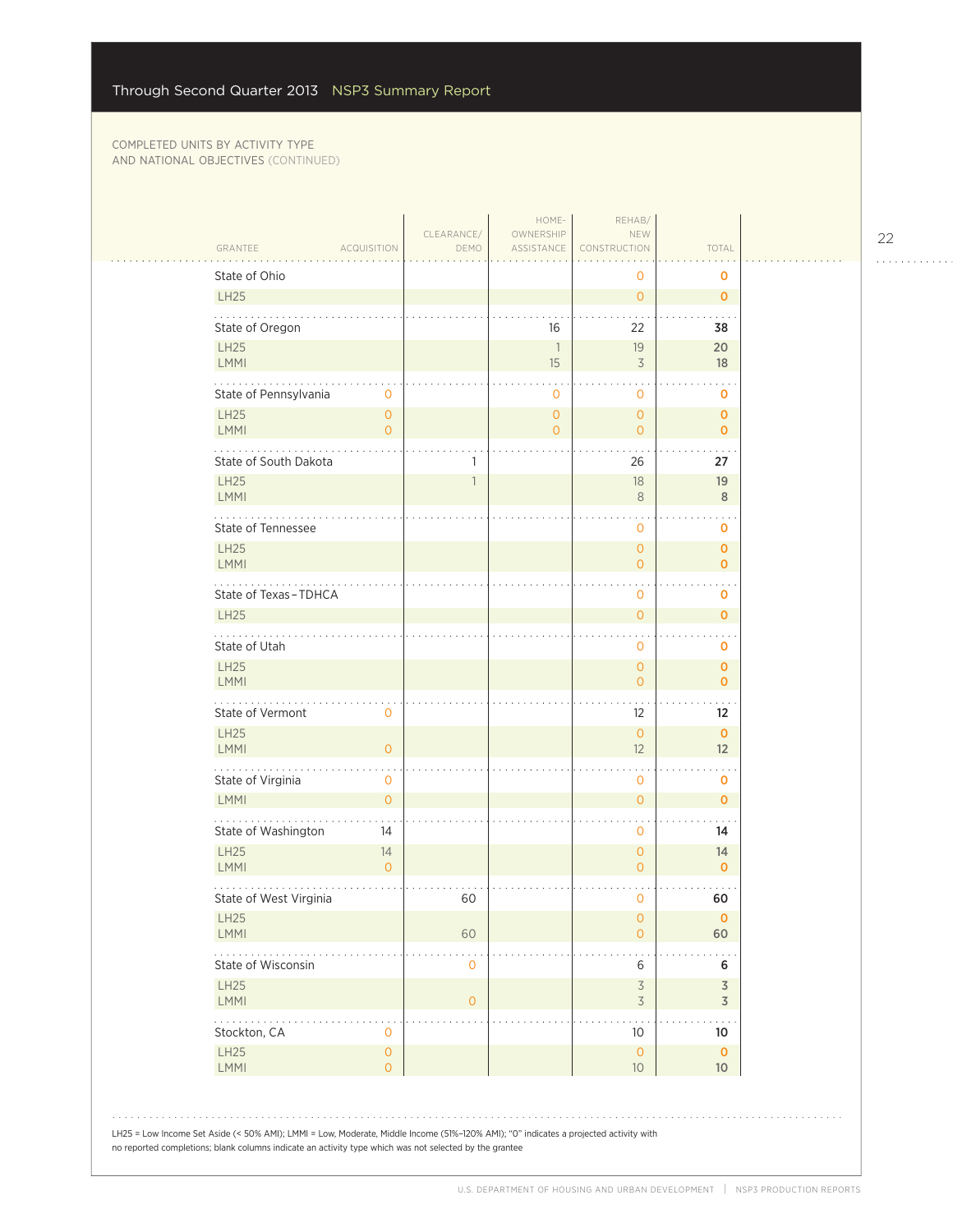|                                                                                                                                                                                                                                                | CLEARANCE/          | HOME-<br>OWNERSHIP               | REHAB/<br>NEW                         |                             |  |
|------------------------------------------------------------------------------------------------------------------------------------------------------------------------------------------------------------------------------------------------|---------------------|----------------------------------|---------------------------------------|-----------------------------|--|
| GRANTEE<br>ACQUISITION                                                                                                                                                                                                                         | DEMO                | ASSISTANCE                       | CONSTRUCTION                          | TOTAL                       |  |
| State of Ohio                                                                                                                                                                                                                                  |                     |                                  | 0                                     | $\mathbf 0$                 |  |
| <b>LH25</b>                                                                                                                                                                                                                                    |                     |                                  | $\overline{O}$                        | $\mathbf 0$                 |  |
| State of Oregon                                                                                                                                                                                                                                |                     | 16                               | 22                                    | 38                          |  |
| <b>LH25</b><br>LMMI                                                                                                                                                                                                                            |                     | $\overline{\phantom{a}}$<br>15   | 19<br>3                               | 20<br>18                    |  |
| State of Pennsylvania<br>0                                                                                                                                                                                                                     |                     | 0                                | 0                                     | o                           |  |
| <b>LH25</b><br>$\mathbf{O}$<br>LMMI<br>$\overline{O}$                                                                                                                                                                                          |                     | $\overline{0}$<br>$\overline{O}$ | $\mathsf{O}\xspace$<br>$\overline{O}$ | $\mathbf 0$<br>$\mathbf{O}$ |  |
| State of South Dakota                                                                                                                                                                                                                          |                     |                                  | 26                                    | 27                          |  |
| <b>LH25</b><br>LMMI                                                                                                                                                                                                                            | $\mathbf{1}$        |                                  | 18<br>$8\phantom{1}$                  | 19<br>8                     |  |
| State of Tennessee                                                                                                                                                                                                                             |                     |                                  | $\circ$                               | 0                           |  |
| <b>LH25</b><br>LMMI                                                                                                                                                                                                                            |                     |                                  | $\overline{O}$<br>$\overline{O}$      | 0<br>$\mathbf{O}$           |  |
| State of Texas-TDHCA                                                                                                                                                                                                                           |                     |                                  | 0                                     | o                           |  |
| <b>LH25</b>                                                                                                                                                                                                                                    |                     |                                  | $\overline{O}$                        | 0<br>$\sim$ $\sim$          |  |
| State of Utah                                                                                                                                                                                                                                  |                     |                                  | 0                                     | o                           |  |
| <b>LH25</b><br><b>LMMI</b>                                                                                                                                                                                                                     |                     |                                  | $\overline{0}$<br>$\overline{O}$      | $\mathbf 0$<br>$\mathbf{o}$ |  |
| State of Vermont<br>$\mathbf 0$                                                                                                                                                                                                                |                     |                                  | 12                                    | 12                          |  |
| <b>LH25</b><br>$\overline{0}$<br>LMMI                                                                                                                                                                                                          |                     |                                  | $\mathbf{O}$<br>12                    | $\mathbf 0$<br>12           |  |
| .<br>State of Virginia<br>0                                                                                                                                                                                                                    |                     |                                  | 0                                     | 0                           |  |
| <b>LMMI</b><br>$\overline{0}$                                                                                                                                                                                                                  |                     |                                  | $\overline{O}$                        | $\mathbf 0$                 |  |
| State of Washington<br>14                                                                                                                                                                                                                      |                     |                                  | 0                                     | 14                          |  |
| <b>LH25</b><br>14<br>LMMI<br>$\mathbf{O}$                                                                                                                                                                                                      |                     |                                  | $\overline{O}$<br>$\overline{O}$      | 14<br>$\mathbf 0$           |  |
| State of West Virginia                                                                                                                                                                                                                         | 60                  |                                  | 0                                     | 60                          |  |
| LH25<br>LMMI                                                                                                                                                                                                                                   | 60                  |                                  | $\mathsf{O}\xspace$<br>$\overline{O}$ | $\mathbf 0$<br>60           |  |
| State of Wisconsin                                                                                                                                                                                                                             | $\mathsf{O}\xspace$ |                                  | $\bullet$<br>6                        | 6                           |  |
| <b>LH25</b><br><b>LMMI</b>                                                                                                                                                                                                                     | $\mathbf{O}$        |                                  | $\mathfrak{Z}$<br>$\mathfrak{Z}$      | 3<br>$\overline{3}$         |  |
| .<br>Stockton, CA<br>0                                                                                                                                                                                                                         |                     |                                  | 10                                    | 10                          |  |
| LH25<br>$\mathsf{O}\xspace$<br>LMMI<br>$\mathbf{O}$                                                                                                                                                                                            |                     |                                  | $\mathbf{0}$<br>10                    | $\mathbf 0$<br>10           |  |
| LH25 = Low Income Set Aside (< 50% AMI); LMMI = Low, Moderate, Middle Income (51%-120% AMI); "0" indicates a projected activity with<br>no reported completions; blank columns indicate an activity type which was not selected by the grantee |                     |                                  |                                       |                             |  |

22

. . . . . . . . . . . .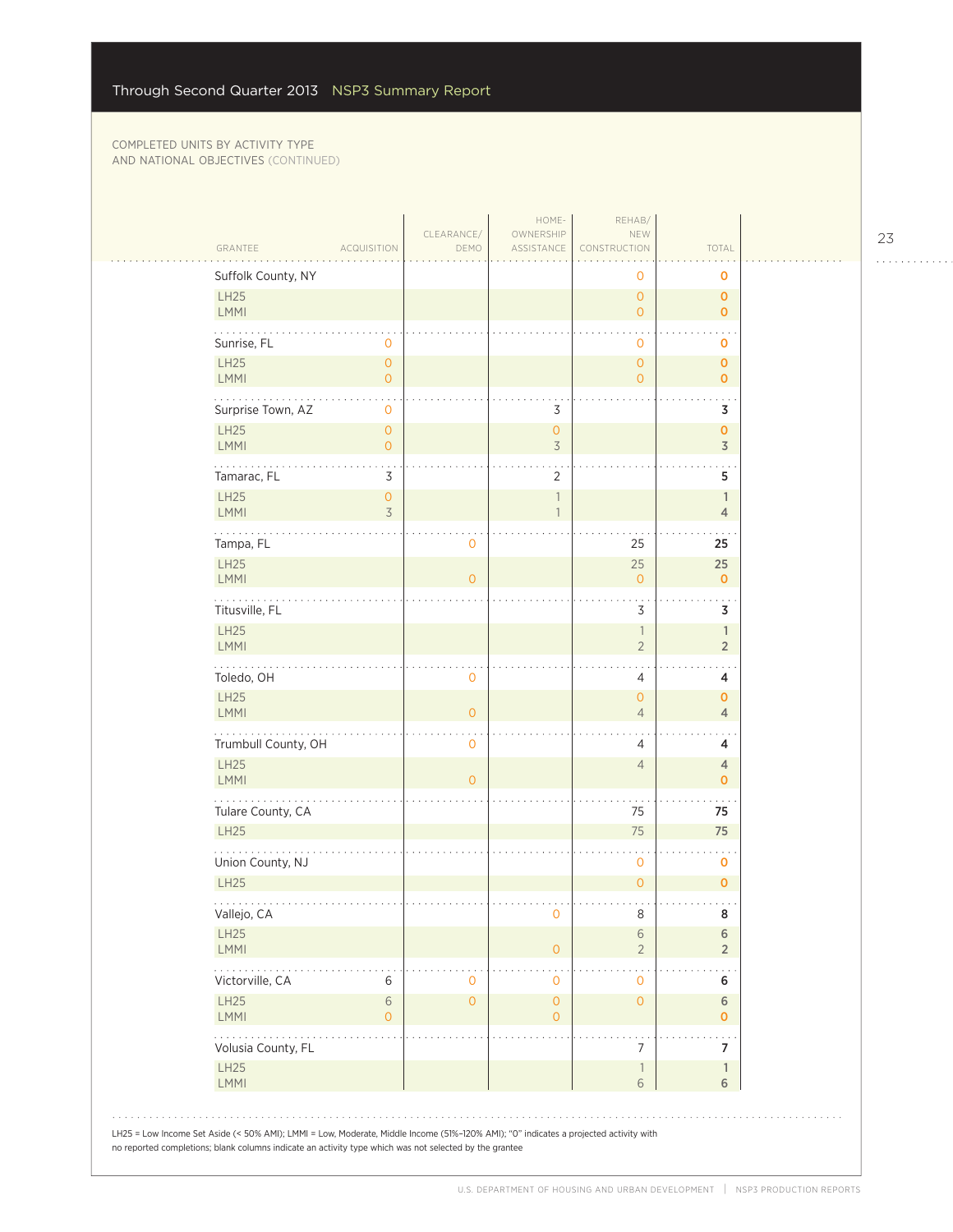| Suffolk County, NY<br>LH25<br>LMMI<br>Sunrise, FL<br>LH25<br><b>LMMI</b><br>.<br>Surprise Town, AZ<br><b>LH25</b><br>LMMI<br>Tamarac, FL<br>LH25<br>LMMI | 0<br>$\mathsf{O}\xspace$<br>$\overline{0}$<br>0<br>$\overline{0}$<br>$\overline{0}$<br>3<br>$\overline{0}$<br>3 |                | 3<br>$\overline{0}$<br>$\overline{3}$ | 0<br>$\overline{0}$<br>$\overline{O}$<br>0<br>$\mathsf{O}\xspace$<br>$\overline{O}$ | 0<br>$\mathbf 0$<br>$\mathbf{O}$<br>o<br>$\mathbf 0$<br>$\mathbf 0$<br>3                                                                                                                                                                                                   |
|----------------------------------------------------------------------------------------------------------------------------------------------------------|-----------------------------------------------------------------------------------------------------------------|----------------|---------------------------------------|-------------------------------------------------------------------------------------|----------------------------------------------------------------------------------------------------------------------------------------------------------------------------------------------------------------------------------------------------------------------------|
|                                                                                                                                                          |                                                                                                                 |                |                                       |                                                                                     |                                                                                                                                                                                                                                                                            |
|                                                                                                                                                          |                                                                                                                 |                |                                       |                                                                                     |                                                                                                                                                                                                                                                                            |
|                                                                                                                                                          |                                                                                                                 |                |                                       |                                                                                     |                                                                                                                                                                                                                                                                            |
|                                                                                                                                                          |                                                                                                                 |                |                                       |                                                                                     |                                                                                                                                                                                                                                                                            |
|                                                                                                                                                          |                                                                                                                 |                |                                       |                                                                                     |                                                                                                                                                                                                                                                                            |
|                                                                                                                                                          |                                                                                                                 |                |                                       |                                                                                     |                                                                                                                                                                                                                                                                            |
|                                                                                                                                                          |                                                                                                                 |                |                                       |                                                                                     | $\mathbf 0$<br>$\overline{3}$                                                                                                                                                                                                                                              |
|                                                                                                                                                          |                                                                                                                 |                | $\overline{2}$                        |                                                                                     | 5                                                                                                                                                                                                                                                                          |
|                                                                                                                                                          |                                                                                                                 |                | 1                                     |                                                                                     | $\mathbb{1}$<br>$\overline{4}$                                                                                                                                                                                                                                             |
| Tampa, FL                                                                                                                                                |                                                                                                                 | 0              |                                       | 25                                                                                  | 25                                                                                                                                                                                                                                                                         |
| <b>LH25</b>                                                                                                                                              |                                                                                                                 |                |                                       | 25                                                                                  | 25                                                                                                                                                                                                                                                                         |
| <b>LMMI</b>                                                                                                                                              |                                                                                                                 | $\overline{0}$ |                                       | $\mathbf 0$                                                                         | $\mathbf 0$                                                                                                                                                                                                                                                                |
| Titusville, FL                                                                                                                                           |                                                                                                                 |                |                                       | 3                                                                                   | 3                                                                                                                                                                                                                                                                          |
| LMMI                                                                                                                                                     |                                                                                                                 |                |                                       | $\overline{2}$                                                                      | $\mathbb{1}$<br>$\overline{2}$                                                                                                                                                                                                                                             |
| Toledo, OH                                                                                                                                               |                                                                                                                 | 0              |                                       | 4                                                                                   | 4                                                                                                                                                                                                                                                                          |
| LH25<br>LMMI                                                                                                                                             |                                                                                                                 | $\overline{O}$ |                                       | $\mathbf{0}$<br>$\overline{4}$                                                      | $\mathbf 0$<br>$\overline{4}$                                                                                                                                                                                                                                              |
| .<br>Trumbull County, OH                                                                                                                                 |                                                                                                                 | 0              |                                       | 4                                                                                   | 4                                                                                                                                                                                                                                                                          |
| LH25<br>LMMI                                                                                                                                             |                                                                                                                 | $\overline{0}$ |                                       | $\overline{4}$                                                                      | $\overline{4}$<br>$\mathbf 0$                                                                                                                                                                                                                                              |
| Tulare County, CA                                                                                                                                        |                                                                                                                 |                |                                       | 75                                                                                  | 75                                                                                                                                                                                                                                                                         |
| <b>LH25</b>                                                                                                                                              |                                                                                                                 |                |                                       | 75                                                                                  | 75                                                                                                                                                                                                                                                                         |
| Union County, NJ                                                                                                                                         |                                                                                                                 |                |                                       | 0                                                                                   | $\mathbf 0$                                                                                                                                                                                                                                                                |
| <b>LH25</b>                                                                                                                                              |                                                                                                                 |                |                                       | $\overline{0}$                                                                      | $\mathbf 0$                                                                                                                                                                                                                                                                |
| Vallejo, CA                                                                                                                                              |                                                                                                                 |                | 0                                     | 8                                                                                   | 8                                                                                                                                                                                                                                                                          |
| LMMI                                                                                                                                                     |                                                                                                                 |                | $\overline{O}$                        | $\sqrt{6}$<br>$\overline{2}$                                                        | $\sqrt{6}$<br>$\overline{2}$                                                                                                                                                                                                                                               |
| Victorville, CA                                                                                                                                          | 6                                                                                                               | 0              | 0                                     | 0                                                                                   | 6                                                                                                                                                                                                                                                                          |
| LH25<br>LMMI                                                                                                                                             | $\,$ 6 $\,$<br>$\mathbf 0$                                                                                      | $\overline{0}$ | $\overline{O}$<br>$\mathbf{0}$        | $\mathsf{O}\xspace$                                                                 | 6<br>0                                                                                                                                                                                                                                                                     |
| Volusia County, FL                                                                                                                                       |                                                                                                                 |                |                                       | 7                                                                                   | 7                                                                                                                                                                                                                                                                          |
| LH25<br>LMMI                                                                                                                                             |                                                                                                                 |                |                                       | $\overline{\phantom{a}}$<br>6                                                       | $\mathbf{1}$<br>6                                                                                                                                                                                                                                                          |
|                                                                                                                                                          | .<br><b>LH25</b><br>LH25                                                                                        |                |                                       |                                                                                     | $\overline{\phantom{a}}$<br>LH25 = Low Income Set Aside (< 50% AMI); LMMI = Low, Moderate, Middle Income (51%-120% AMI); "0" indicates a projected activity with<br>no reported completions; blank columns indicate an activity type which was not selected by the grantee |